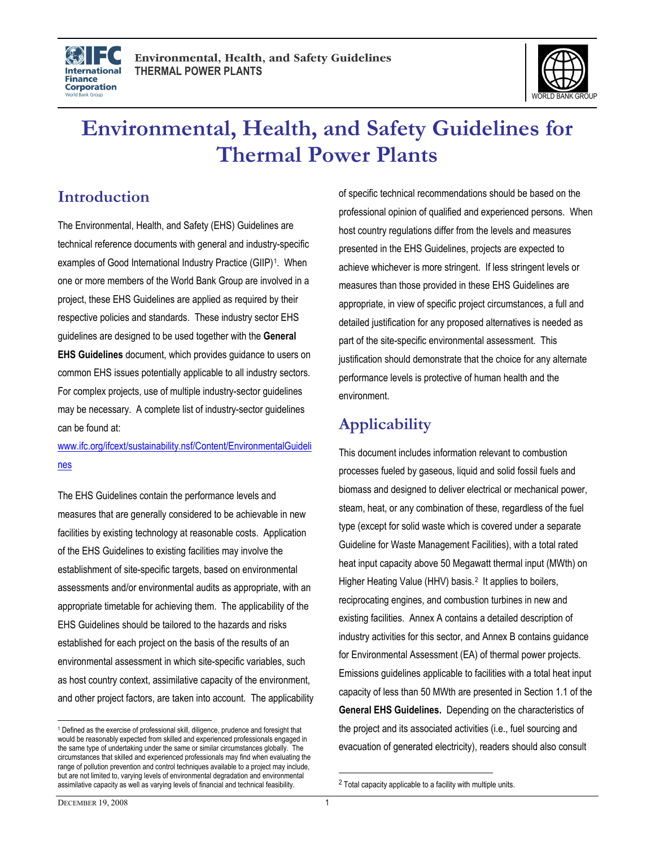



# **Environmental, Health, and Safety Guidelines for Thermal Power Plants**

# **Introduction**

The Environmental, Health, and Safety (EHS) Guidelines are technical reference documents with general and industry-specific examples of Good International Industry Practice (GIIP)<sup>1</sup>. When one or more members of the World Bank Group are involved in a project, these EHS Guidelines are applied as required by their respective policies and standards. These industry sector EHS guidelines are designed to be used together with the **General EHS Guidelines** document, which provides guidance to users on common EHS issues potentially applicable to all industry sectors. For complex projects, use of multiple industry-sector guidelines may be necessary. A complete list of industry-sector guidelines can be found at:

[www.ifc.org/ifcext/sustainability.nsf/Content/EnvironmentalGuideli](http://www.ifc.org/ifcext/sustainability.nsf/Content/EnvironmentalGuidelines) [nes](http://www.ifc.org/ifcext/sustainability.nsf/Content/EnvironmentalGuidelines)

The EHS Guidelines contain the performance levels and measures that are generally considered to be achievable in new facilities by existing technology at reasonable costs. Application of the EHS Guidelines to existing facilities may involve the establishment of site-specific targets, based on environmental assessments and/or environmental audits as appropriate, with an appropriate timetable for achieving them. The applicability of the EHS Guidelines should be tailored to the hazards and risks established for each project on the basis of the results of an environmental assessment in which site-specific variables, such as host country context, assimilative capacity of the environment, and other project factors, are taken into account. The applicability of specific technical recommendations should be based on the professional opinion of qualified and experienced persons. When host country regulations differ from the levels and measures presented in the EHS Guidelines, projects are expected to achieve whichever is more stringent. If less stringent levels or measures than those provided in these EHS Guidelines are appropriate, in view of specific project circumstances, a full and detailed justification for any proposed alternatives is needed as part of the site-specific environmental assessment. This justification should demonstrate that the choice for any alternate performance levels is protective of human health and the environment.

# **Applicability**

This document includes information relevant to combustion processes fueled by gaseous, liquid and solid fossil fuels and biomass and designed to deliver electrical or mechanical power, steam, heat, or any combination of these, regardless of the fuel type (except for solid waste which is covered under a separate Guideline for Waste Management Facilities), with a total rated heat input capacity above 50 Megawatt thermal input (MWth) on Higher Heating Value (HHV) basis.<sup>[2](#page-0-1)</sup> It applies to boilers, reciprocating engines, and combustion turbines in new and existing facilities. Annex A contains a detailed description of industry activities for this sector, and Annex B contains guidance for Environmental Assessment (EA) of thermal power projects. Emissions guidelines applicable to facilities with a total heat input capacity of less than 50 MWth are presented in Section 1.1 of the **General EHS Guidelines.** Depending on the characteristics of the project and its associated activities (i.e., fuel sourcing and evacuation of generated electricity), readers should also consult

 $\overline{a}$ 

<span id="page-0-1"></span><span id="page-0-0"></span><sup>1</sup> Defined as the exercise of professional skill, diligence, prudence and foresight that would be reasonably expected from skilled and experienced professionals engaged in the same type of undertaking under the same or similar circumstances globally. The circumstances that skilled and experienced professionals may find when evaluating the range of pollution prevention and control techniques available to a project may include, but are not limited to, varying levels of environmental degradation and environmental assimilative capacity as well as varying levels of financial and technical feasibility.

<sup>&</sup>lt;sup>2</sup> Total capacity applicable to a facility with multiple units.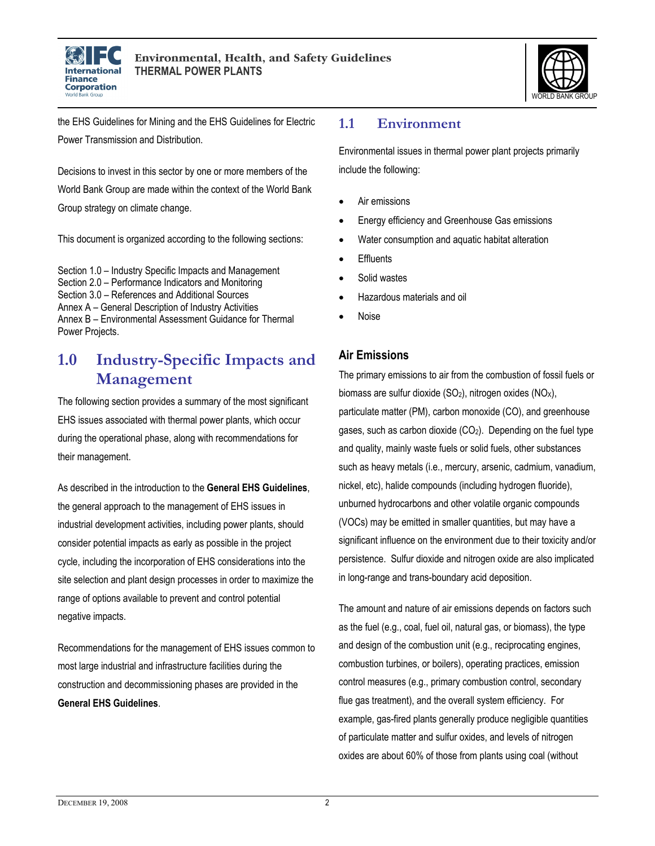



the EHS Guidelines for Mining and the EHS Guidelines for Electric Power Transmission and Distribution.

Decisions to invest in this sector by one or more members of the World Bank Group are made within the context of the World Bank Group strategy on climate change.

This document is organized according to the following sections:

Section 1.0 – Industry Specific Impacts and Management Section 2.0 – Performance Indicators and Monitoring Section 3.0 – References and Additional Sources Annex A – General Description of Industry Activities Annex B – Environmental Assessment Guidance for Thermal Power Projects.

# **1.0 Industry-Specific Impacts and Management**

The following section provides a summary of the most significant EHS issues associated with thermal power plants, which occur during the operational phase, along with recommendations for their management.

As described in the introduction to the **General EHS Guidelines**, the general approach to the management of EHS issues in industrial development activities, including power plants, should consider potential impacts as early as possible in the project cycle, including the incorporation of EHS considerations into the site selection and plant design processes in order to maximize the range of options available to prevent and control potential negative impacts.

Recommendations for the management of EHS issues common to most large industrial and infrastructure facilities during the construction and decommissioning phases are provided in the **General EHS Guidelines**.

# **1.1 Environment**

Environmental issues in thermal power plant projects primarily include the following:

- Air emissions
- Energy efficiency and Greenhouse Gas emissions
- Water consumption and aquatic habitat alteration
- **Effluents**
- Solid wastes
- Hazardous materials and oil
- Noise

# **Air Emissions**

The primary emissions to air from the combustion of fossil fuels or biomass are sulfur dioxide (SO<sub>2</sub>), nitrogen oxides (NO<sub>x</sub>), particulate matter (PM), carbon monoxide (CO), and greenhouse gases, such as carbon dioxide (CO2). Depending on the fuel type and quality, mainly waste fuels or solid fuels, other substances such as heavy metals (i.e., mercury, arsenic, cadmium, vanadium, nickel, etc), halide compounds (including hydrogen fluoride), unburned hydrocarbons and other volatile organic compounds (VOCs) may be emitted in smaller quantities, but may have a significant influence on the environment due to their toxicity and/or persistence. Sulfur dioxide and nitrogen oxide are also implicated in long-range and trans-boundary acid deposition.

The amount and nature of air emissions depends on factors such as the fuel (e.g., coal, fuel oil, natural gas, or biomass), the type and design of the combustion unit (e.g., reciprocating engines, combustion turbines, or boilers), operating practices, emission control measures (e.g., primary combustion control, secondary flue gas treatment), and the overall system efficiency. For example, gas-fired plants generally produce negligible quantities of particulate matter and sulfur oxides, and levels of nitrogen oxides are about 60% of those from plants using coal (without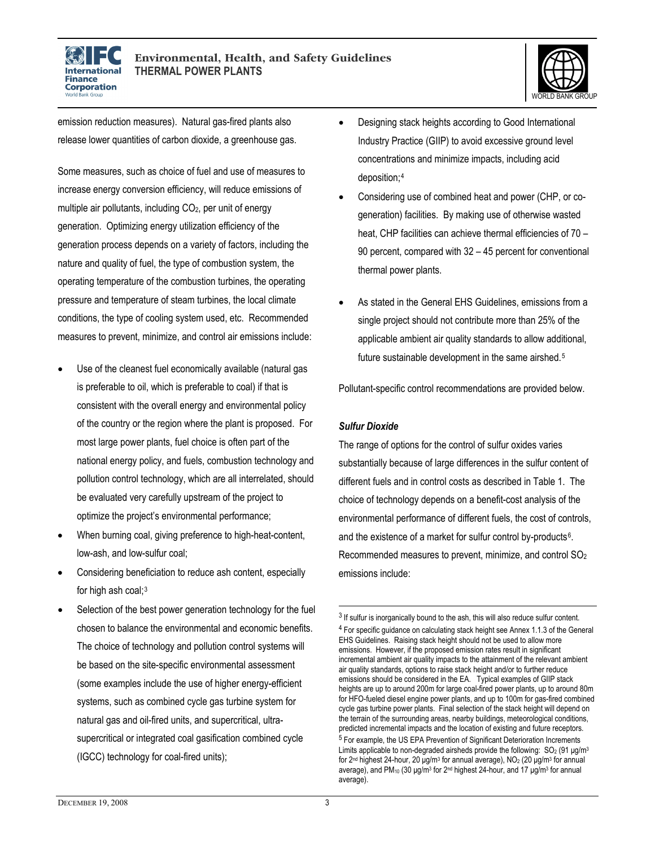



emission reduction measures). Natural gas-fired plants also release lower quantities of carbon dioxide, a greenhouse gas.

Some measures, such as choice of fuel and use of measures to increase energy conversion efficiency, will reduce emissions of multiple air pollutants, including  $CO<sub>2</sub>$ , per unit of energy generation. Optimizing energy utilization efficiency of the generation process depends on a variety of factors, including the nature and quality of fuel, the type of combustion system, the operating temperature of the combustion turbines, the operating pressure and temperature of steam turbines, the local climate conditions, the type of cooling system used, etc. Recommended measures to prevent, minimize, and control air emissions include:

- Use of the cleanest fuel economically available (natural gas is preferable to oil, which is preferable to coal) if that is consistent with the overall energy and environmental policy of the country or the region where the plant is proposed. For most large power plants, fuel choice is often part of the national energy policy, and fuels, combustion technology and pollution control technology, which are all interrelated, should be evaluated very carefully upstream of the project to optimize the project's environmental performance;
- When burning coal, giving preference to high-heat-content, low-ash, and low-sulfur coal;
- Considering beneficiation to reduce ash content, especially for high ash coal;<sup>[3](#page-2-0)</sup>
- <span id="page-2-3"></span><span id="page-2-2"></span><span id="page-2-1"></span><span id="page-2-0"></span>Selection of the best power generation technology for the fuel chosen to balance the environmental and economic benefits. The choice of technology and pollution control systems will be based on the site-specific environmental assessment (some examples include the use of higher energy-efficient systems, such as combined cycle gas turbine system for natural gas and oil-fired units, and supercritical, ultrasupercritical or integrated coal gasification combined cycle (IGCC) technology for coal-fired units);
- Designing stack heights according to Good International Industry Practice (GIIP) to avoid excessive ground level concentrations and minimize impacts, including acid deposition;[4](#page-2-1)
- Considering use of combined heat and power (CHP, or cogeneration) facilities. By making use of otherwise wasted heat, CHP facilities can achieve thermal efficiencies of 70 – 90 percent, compared with 32 – 45 percent for conventional thermal power plants.
- As stated in the General EHS Guidelines, emissions from a single project should not contribute more than 25% of the applicable ambient air quality standards to allow additional, future sustainable development in the same airshed.<sup>[5](#page-2-2)</sup>

Pollutant-specific control recommendations are provided below.

# *Sulfur Dioxide*

The range of options for the control of sulfur oxides varies substantially because of large differences in the sulfur content of different fuels and in control costs as described in Table 1. The choice of technology depends on a benefit-cost analysis of the environmental performance of different fuels, the cost of controls, and the existence of a market for sulfur control by-products<sup>6</sup>. Recommended measures to prevent, minimize, and control SO2 emissions include:

average).

 $\overline{a}$ <sup>3</sup> If sulfur is inorganically bound to the ash, this will also reduce sulfur content. 4 For specific guidance on calculating stack height see Annex 1.1.3 of the General EHS Guidelines. Raising stack height should not be used to allow more emissions. However, if the proposed emission rates result in significant incremental ambient air quality impacts to the attainment of the relevant ambient air quality standards, options to raise stack height and/or to further reduce emissions should be considered in the EA. Typical examples of GIIP stack heights are up to around 200m for large coal-fired power plants, up to around 80m for HFO-fueled diesel engine power plants, and up to 100m for gas-fired combined cycle gas turbine power plants. Final selection of the stack height will depend on the terrain of the surrounding areas, nearby buildings, meteorological conditions, predicted incremental impacts and the location of existing and future receptors. 5 For example, the US EPA Prevention of Significant Deterioration Increments Limits applicable to non-degraded airsheds provide the following:  $SO<sub>2</sub>$  (91 µg/m<sup>3</sup> for 2<sup>nd</sup> highest 24-hour, 20 μg/m<sup>3</sup> for annual average), NO<sub>2</sub> (20 μg/m<sup>3</sup> for annual average), and PM<sub>10</sub> (30 μg/m<sup>3</sup> for 2<sup>nd</sup> highest 24-hour, and 17 μg/m<sup>3</sup> for annual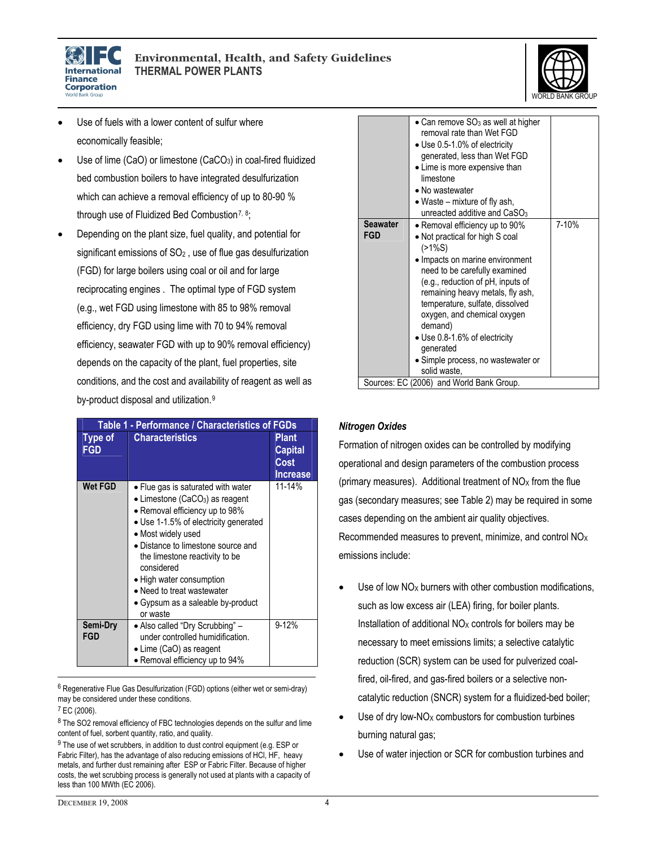



- Use of fuels with a lower content of sulfur where economically feasible;
- Use of lime (CaO) or limestone (CaCO<sub>3</sub>) in coal-fired fluidized bed combustion boilers to have integrated desulfurization which can achieve a removal efficiency of up to 80-90 % through use of Fluidized Bed Combustion<sup>[7,](#page-3-0) [8](#page-3-1)</sup>;
- Depending on the plant size, fuel quality, and potential for significant emissions of SO<sub>2</sub>, use of flue gas desulfurization (FGD) for large boilers using coal or oil and for large reciprocating engines . The optimal type of FGD system (e.g., wet FGD using limestone with 85 to 98% removal efficiency, dry FGD using lime with 70 to 94% removal efficiency, seawater FGD with up to 90% removal efficiency) depends on the capacity of the plant, fuel properties, site conditions, and the cost and availability of reagent as well as by-product disposal and utilization.<sup>[9](#page-3-2)</sup>

|                       | Table 1 - Performance / Characteristics of FGDs                                                                                                                                                                                                                                                                                                                                             |                                                           |
|-----------------------|---------------------------------------------------------------------------------------------------------------------------------------------------------------------------------------------------------------------------------------------------------------------------------------------------------------------------------------------------------------------------------------------|-----------------------------------------------------------|
| <b>Type of</b><br>FGD | <b>Characteristics</b>                                                                                                                                                                                                                                                                                                                                                                      | <b>Plant</b><br><b>Capital</b><br>Cost<br><b>Increase</b> |
| <b>Wet FGD</b>        | • Flue gas is saturated with water<br>$\bullet$ Limestone (CaCO <sub>3</sub> ) as reagent<br>• Removal efficiency up to 98%<br>• Use 1-1.5% of electricity generated<br>• Most widely used<br>• Distance to limestone source and<br>the limestone reactivity to be<br>considered<br>• High water consumption<br>• Need to treat wastewater<br>• Gypsum as a saleable by-product<br>or waste | 11-14%                                                    |
| Semi-Dry<br>FGD       | • Also called "Dry Scrubbing" –<br>under controlled humidification.<br>• Lime (CaO) as reagent<br>• Removal efficiency up to 94%                                                                                                                                                                                                                                                            | $9 - 12%$                                                 |

6 Regenerative Flue Gas Desulfurization (FGD) options (either wet or semi-dray) may be considered under these conditions.

 $\overline{a}$ 

<span id="page-3-1"></span>8 The SO2 removal efficiency of FBC technologies depends on the sulfur and lime content of fuel, sorbent quantity, ratio, and quality.

<span id="page-3-2"></span> $9$  The use of wet scrubbers, in addition to dust control equipment (e.g. ESP or Fabric Filter), has the advantage of also reducing emissions of HCl, HF, heavy metals, and further dust remaining after ESP or Fabric Filter. Because of higher costs, the wet scrubbing process is generally not used at plants with a capacity of less than 100 MWth (EC 2006).

|                        | $\bullet$ Can remove SO <sub>3</sub> as well at higher<br>removal rate than Wet FGD<br>• Use 0.5-1.0% of electricity<br>generated, less than Wet FGD<br>Lime is more expensive than<br>limestone<br>$\bullet$ No wastewater<br>• Waste – mixture of fly ash,<br>unreacted additive and CaSO <sub>3</sub>                                                                                              |       |
|------------------------|-------------------------------------------------------------------------------------------------------------------------------------------------------------------------------------------------------------------------------------------------------------------------------------------------------------------------------------------------------------------------------------------------------|-------|
| <b>Seawater</b><br>FGD | • Removal efficiency up to 90%<br>• Not practical for high S coal<br>(>1%S)<br>Impacts on marine environment<br>need to be carefully examined<br>(e.g., reduction of pH, inputs of<br>remaining heavy metals, fly ash,<br>temperature, sulfate, dissolved<br>oxygen, and chemical oxygen<br>demand)<br>Use 0.8-1.6% of electricity<br>generated<br>• Simple process, no wastewater or<br>solid waste, | 7-10% |
|                        | Sources: EC (2006) and World Bank Group.                                                                                                                                                                                                                                                                                                                                                              |       |

# *Nitrogen Oxides*

Formation of nitrogen oxides can be controlled by modifying operational and design parameters of the combustion process (primary measures). Additional treatment of  $NO<sub>x</sub>$  from the flue gas (secondary measures; see Table 2) may be required in some cases depending on the ambient air quality objectives. Recommended measures to prevent, minimize, and control  $NO<sub>x</sub>$ emissions include:

- Use of low  $NO<sub>x</sub>$  burners with other combustion modifications, such as low excess air (LEA) firing, for boiler plants. Installation of additional  $NO<sub>X</sub>$  controls for boilers may be necessary to meet emissions limits; a selective catalytic reduction (SCR) system can be used for pulverized coalfired, oil-fired, and gas-fired boilers or a selective noncatalytic reduction (SNCR) system for a fluidized-bed boiler;
- Use of dry low-NO<sub> $x$ </sub> combustors for combustion turbines burning natural gas;
- Use of water injection or SCR for combustion turbines and

<span id="page-3-0"></span><sup>7</sup> EC (2006).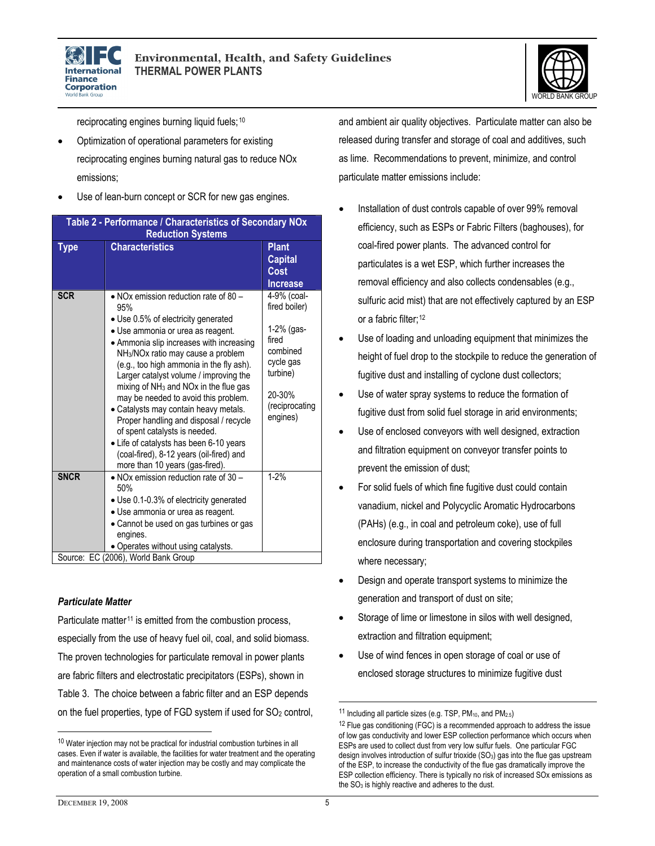



reciprocating engines burning liquid fuels;<sup>[1](#page-4-0)0</sup>

- Optimization of operational parameters for existing reciprocating engines burning natural gas to reduce NOx emissions;
- Use of lean-burn concept or SCR for new gas engines.

**Table 2 - Performance / Characteristics of Secondary NOx** 

|             | <b>Reduction Systems</b>                                                                                                                                                                                                                                                                                                                                                                                                                                                                                                                                                                                                                                    |                                                                                                                                  |
|-------------|-------------------------------------------------------------------------------------------------------------------------------------------------------------------------------------------------------------------------------------------------------------------------------------------------------------------------------------------------------------------------------------------------------------------------------------------------------------------------------------------------------------------------------------------------------------------------------------------------------------------------------------------------------------|----------------------------------------------------------------------------------------------------------------------------------|
| Type        | <b>Characteristics</b>                                                                                                                                                                                                                                                                                                                                                                                                                                                                                                                                                                                                                                      | <b>Plant</b><br><b>Capital</b><br>Cost<br><b>Increase</b>                                                                        |
| <b>SCR</b>  | • NOx emission reduction rate of 80 $-$<br>95%<br>• Use 0.5% of electricity generated<br>· Use ammonia or urea as reagent.<br>• Ammonia slip increases with increasing<br>NH <sub>3</sub> /NO <sub>x</sub> ratio may cause a problem<br>(e.g., too high ammonia in the fly ash).<br>Larger catalyst volume / improving the<br>mixing of $NH3$ and NOx in the flue gas<br>may be needed to avoid this problem.<br>• Catalysts may contain heavy metals.<br>Proper handling and disposal / recycle<br>of spent catalysts is needed.<br>• Life of catalysts has been 6-10 years<br>(coal-fired), 8-12 years (oil-fired) and<br>more than 10 years (gas-fired). | 4-9% (coal-<br>fired boiler)<br>1-2% (gas-<br>fired<br>combined<br>cycle gas<br>turbine)<br>20-30%<br>(reciprocating<br>engines) |
| <b>SNCR</b> | • NOx emission reduction rate of $30 -$<br>50%<br>• Use 0.1-0.3% of electricity generated<br>· Use ammonia or urea as reagent.<br>• Cannot be used on gas turbines or gas<br>engines.<br>• Operates without using catalysts.<br>Source: EC (2006), World Bank Group                                                                                                                                                                                                                                                                                                                                                                                         | $1-2%$                                                                                                                           |

# *Particulate Matter*

Particulate matter<sup>[11](#page-4-1)</sup> is emitted from the combustion process, especially from the use of heavy fuel oil, coal, and solid biomass. The proven technologies for particulate removal in power plants are fabric filters and electrostatic precipitators (ESPs), shown in Table 3. The choice between a fabric filter and an ESP depends on the fuel properties, type of FGD system if used for SO2 control, and ambient air quality objectives. Particulate matter can also be released during transfer and storage of coal and additives, such as lime. Recommendations to prevent, minimize, and control particulate matter emissions include:

- Installation of dust controls capable of over 99% removal efficiency, such as ESPs or Fabric Filters (baghouses), for coal-fired power plants. The advanced control for particulates is a wet ESP, which further increases the removal efficiency and also collects condensables (e.g., sulfuric acid mist) that are not effectively captured by an ESP or a fabric filter: [12](#page-4-2)
- Use of loading and unloading equipment that minimizes the height of fuel drop to the stockpile to reduce the generation of fugitive dust and installing of cyclone dust collectors;
- Use of water spray systems to reduce the formation of fugitive dust from solid fuel storage in arid environments;
- Use of enclosed conveyors with well designed, extraction and filtration equipment on conveyor transfer points to prevent the emission of dust;
- For solid fuels of which fine fugitive dust could contain vanadium, nickel and Polycyclic Aromatic Hydrocarbons (PAHs) (e.g., in coal and petroleum coke), use of full enclosure during transportation and covering stockpiles where necessary;
- Design and operate transport systems to minimize the generation and transport of dust on site;
- Storage of lime or limestone in silos with well designed, extraction and filtration equipment;
- Use of wind fences in open storage of coal or use of enclosed storage structures to minimize fugitive dust

<span id="page-4-2"></span><span id="page-4-1"></span> $\overline{a}$ 

l

<span id="page-4-0"></span><sup>&</sup>lt;sup>10</sup> Water injection may not be practical for industrial combustion turbines in all cases. Even if water is available, the facilities for water treatment and the operating and maintenance costs of water injection may be costly and may complicate the operation of a small combustion turbine.

<sup>&</sup>lt;sup>11</sup> Including all particle sizes (e.g. TSP,  $PM_{10}$ , and  $PM_{2.5}$ )

 $12$  Flue gas conditioning (FGC) is a recommended approach to address the issue of low gas conductivity and lower ESP collection performance which occurs when ESPs are used to collect dust from very low sulfur fuels. One particular FGC design involves introduction of sulfur trioxide (SO<sub>3</sub>) gas into the flue gas upstream of the ESP, to increase the conductivity of the flue gas dramatically improve the ESP collection efficiency. There is typically no risk of increased SOx emissions as the SO<sub>3</sub> is highly reactive and adheres to the dust.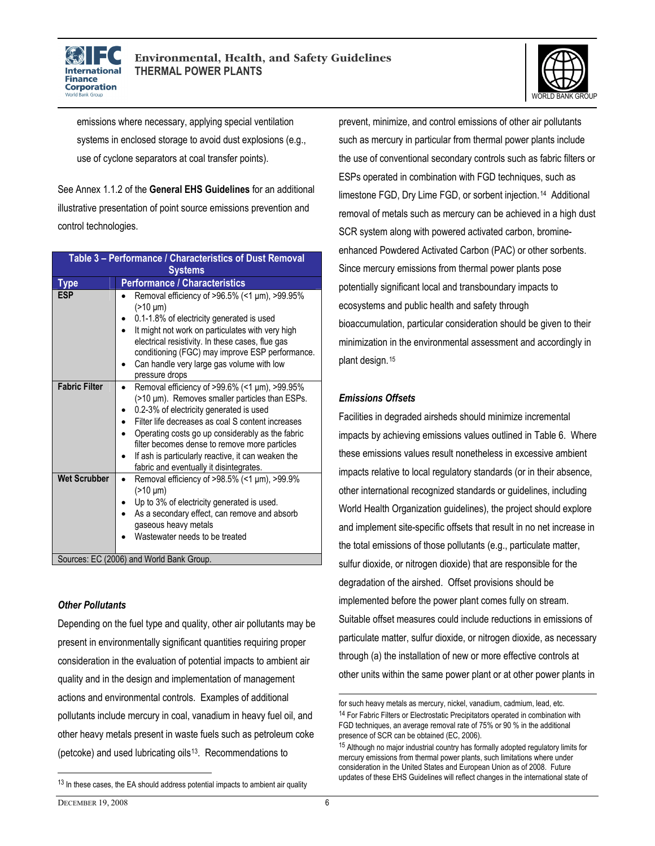



emissions where necessary, applying special ventilation systems in enclosed storage to avoid dust explosions (e.g., use of cyclone separators at coal transfer points).

See Annex 1.1.2 of the **General EHS Guidelines** for an additional illustrative presentation of point source emissions prevention and control technologies.

| Table 3 - Performance / Characteristics of Dust Removal<br><b>Systems</b> |                                                                                                                                                                                                                                                                                                                                                                                                       |  |
|---------------------------------------------------------------------------|-------------------------------------------------------------------------------------------------------------------------------------------------------------------------------------------------------------------------------------------------------------------------------------------------------------------------------------------------------------------------------------------------------|--|
| Type                                                                      | <b>Performance / Characteristics</b>                                                                                                                                                                                                                                                                                                                                                                  |  |
| <b>ESP</b>                                                                | Removal efficiency of >96.5% (<1 µm), >99.95%<br>$(>10 \mu m)$<br>0.1-1.8% of electricity generated is used<br>It might not work on particulates with very high<br>electrical resistivity. In these cases, flue gas<br>conditioning (FGC) may improve ESP performance.<br>Can handle very large gas volume with low<br>pressure drops                                                                 |  |
| <b>Fabric Filter</b>                                                      | Removal efficiency of >99.6% (<1 µm), >99.95%<br>(>10 µm). Removes smaller particles than ESPs.<br>0.2-3% of electricity generated is used<br>Filter life decreases as coal S content increases<br>Operating costs go up considerably as the fabric<br>filter becomes dense to remove more particles<br>If ash is particularly reactive, it can weaken the<br>fabric and eventually it disintegrates. |  |
| <b>Wet Scrubber</b>                                                       | Removal efficiency of $>98.5\%$ (<1 µm), $>99.9\%$<br>$(>10 \mu m)$<br>Up to 3% of electricity generated is used.<br>As a secondary effect, can remove and absorb<br>gaseous heavy metals<br>Wastewater needs to be treated<br>Sources: EC (2006) and World Bank Group.                                                                                                                               |  |

# *Other Pollutants*

Depending on the fuel type and quality, other air pollutants may be present in environmentally significant quantities requiring proper consideration in the evaluation of potential impacts to ambient air quality and in the design and implementation of management actions and environmental controls. Examples of additional pollutants include mercury in coal, vanadium in heavy fuel oil, and other heavy metals present in waste fuels such as petroleum coke (petcoke) and used lubricating oils<sup>[13](#page-5-0)</sup>. Recommendations to

prevent, minimize, and control emissions of other air pollutants such as mercury in particular from thermal power plants include the use of conventional secondary controls such as fabric filters or ESPs operated in combination with FGD techniques, such as limestone FGD, Dry Lime FGD, or sorbent injection.[1](#page-5-1)4 Additional removal of metals such as mercury can be achieved in a high dust SCR system along with powered activated carbon, bromineenhanced Powdered Activated Carbon (PAC) or other sorbents. Since mercury emissions from thermal power plants pose potentially significant local and transboundary impacts to ecosystems and public health and safety through bioaccumulation, particular consideration should be given to their minimization in the environmental assessment and accordingly in plant design.[15](#page-5-2)

# *Emissions Offsets*

Facilities in degraded airsheds should minimize incremental impacts by achieving emissions values outlined in Table 6. Where these emissions values result nonetheless in excessive ambient impacts relative to local regulatory standards (or in their absence, other international recognized standards or guidelines, including World Health Organization guidelines), the project should explore and implement site-specific offsets that result in no net increase in the total emissions of those pollutants (e.g., particulate matter, sulfur dioxide, or nitrogen dioxide) that are responsible for the degradation of the airshed. Offset provisions should be implemented before the power plant comes fully on stream. Suitable offset measures could include reductions in emissions of particulate matter, sulfur dioxide, or nitrogen dioxide, as necessary through (a) the installation of new or more effective controls at other units within the same power plant or at other power plants in

<span id="page-5-2"></span><span id="page-5-1"></span>-

<span id="page-5-0"></span> $13$  In these cases, the EA should address potential impacts to ambient air quality

for such heavy metals as mercury, nickel, vanadium, cadmium, lead, etc. <sup>14</sup> For Fabric Filters or Electrostatic Precipitators operated in combination with FGD techniques, an average removal rate of 75% or 90 % in the additional presence of SCR can be obtained (EC, 2006).

<sup>15</sup> Although no major industrial country has formally adopted regulatory limits for mercury emissions from thermal power plants, such limitations where under consideration in the United States and European Union as of 2008. Future updates of these EHS Guidelines will reflect changes in the international state of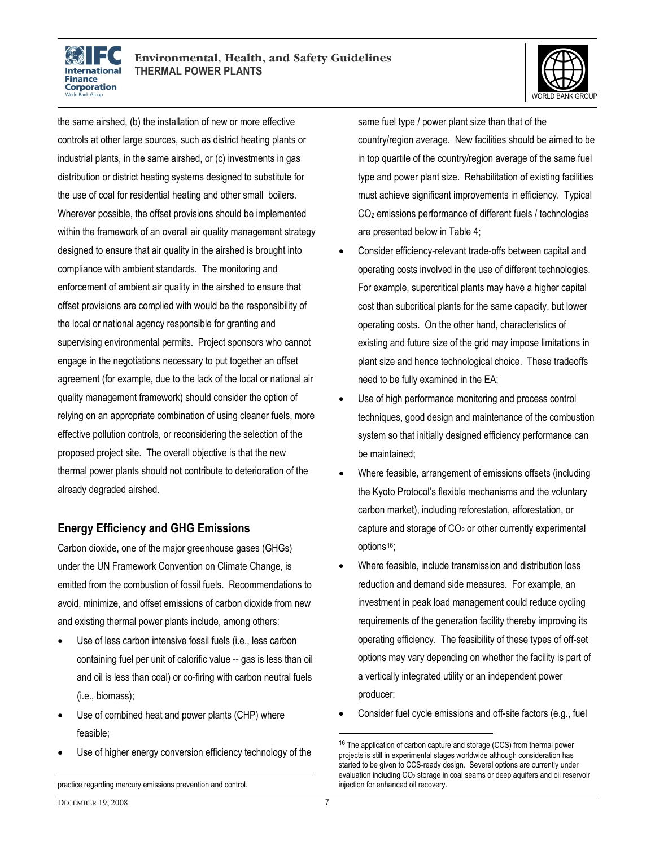



the same airshed, (b) the installation of new or more effective controls at other large sources, such as district heating plants or industrial plants, in the same airshed, or (c) investments in gas distribution or district heating systems designed to substitute for the use of coal for residential heating and other small boilers. Wherever possible, the offset provisions should be implemented within the framework of an overall air quality management strategy designed to ensure that air quality in the airshed is brought into compliance with ambient standards. The monitoring and enforcement of ambient air quality in the airshed to ensure that offset provisions are complied with would be the responsibility of the local or national agency responsible for granting and supervising environmental permits. Project sponsors who cannot engage in the negotiations necessary to put together an offset agreement (for example, due to the lack of the local or national air quality management framework) should consider the option of relying on an appropriate combination of using cleaner fuels, more effective pollution controls, or reconsidering the selection of the proposed project site. The overall objective is that the new thermal power plants should not contribute to deterioration of the already degraded airshed.

# **Energy Efficiency and GHG Emissions**

Carbon dioxide, one of the major greenhouse gases (GHGs) under the UN Framework Convention on Climate Change, is emitted from the combustion of fossil fuels. Recommendations to avoid, minimize, and offset emissions of carbon dioxide from new and existing thermal power plants include, among others:

- Use of less carbon intensive fossil fuels (i.e., less carbon containing fuel per unit of calorific value -- gas is less than oil and oil is less than coal) or co-firing with carbon neutral fuels (i.e., biomass);
- Use of combined heat and power plants (CHP) where feasible;
- <span id="page-6-0"></span>Use of higher energy conversion efficiency technology of the

practice regarding mercury emissions prevention and control. same fuel type / power plant size than that of the country/region average. New facilities should be aimed to be in top quartile of the country/region average of the same fuel type and power plant size. Rehabilitation of existing facilities must achieve significant improvements in efficiency. Typical CO2 emissions performance of different fuels / technologies are presented below in Table 4;

- Consider efficiency-relevant trade-offs between capital and operating costs involved in the use of different technologies. For example, supercritical plants may have a higher capital cost than subcritical plants for the same capacity, but lower operating costs. On the other hand, characteristics of existing and future size of the grid may impose limitations in plant size and hence technological choice. These tradeoffs need to be fully examined in the EA;
- Use of high performance monitoring and process control techniques, good design and maintenance of the combustion system so that initially designed efficiency performance can be maintained;
- Where feasible, arrangement of emissions offsets (including the Kyoto Protocol's flexible mechanisms and the voluntary carbon market), including reforestation, afforestation, or capture and storage of CO<sub>2</sub> or other currently experimental options[16](#page-6-0);
- Where feasible, include transmission and distribution loss reduction and demand side measures. For example, an investment in peak load management could reduce cycling requirements of the generation facility thereby improving its operating efficiency. The feasibility of these types of off-set options may vary depending on whether the facility is part of a vertically integrated utility or an independent power producer;
- Consider fuel cycle emissions and off-site factors (e.g., fuel

<sup>&</sup>lt;sup>16</sup> The application of carbon capture and storage (CCS) from thermal power projects is still in experimental stages worldwide although consideration has started to be given to CCS-ready design. Several options are currently under evaluation including CO<sub>2</sub> storage in coal seams or deep aquifers and oil reservoir injection for enhanced oil recovery.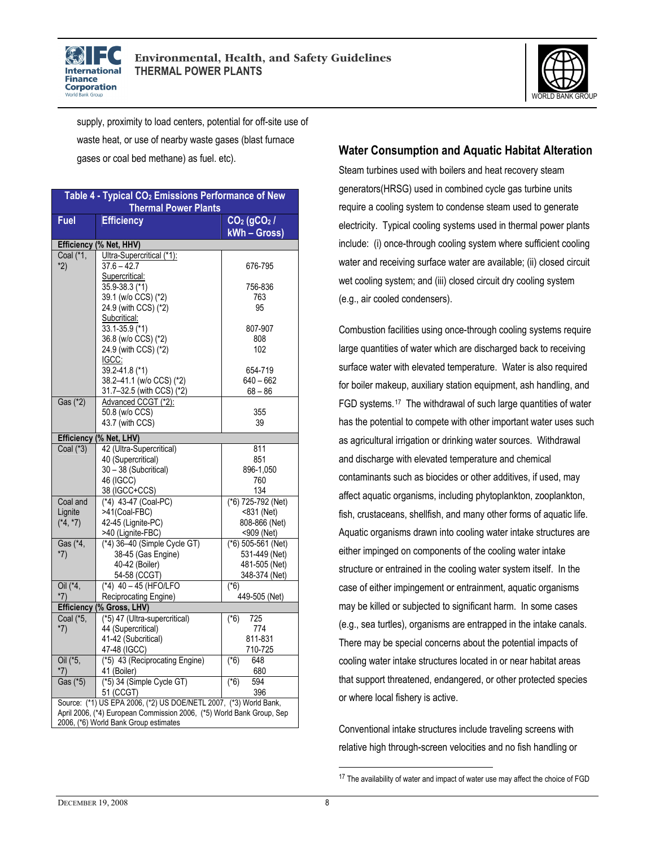



supply, proximity to load centers, potential for off-site use of waste heat, or use of nearby waste gases (blast furnace gases or coal bed methane) as fuel. etc).

|                                   | Table 4 - Typical CO <sub>2</sub> Emissions Performance of New<br><b>Thermal Power Plants</b>                  |                                                                       |
|-----------------------------------|----------------------------------------------------------------------------------------------------------------|-----------------------------------------------------------------------|
| <b>Fuel</b>                       | <b>Efficiency</b>                                                                                              | $\overline{CO_2}$ (gCO <sub>2</sub> /<br>kWh - Gross)                 |
|                                   | Efficiency (% Net, HHV)                                                                                        |                                                                       |
| Coal (*1,<br>*2)                  | Ultra-Supercritical (*1):<br>$37.6 - 42.7$<br>Supercritical:                                                   | 676-795                                                               |
|                                   | $\overline{35.9}$ -38.3 (*1)<br>39.1 (w/o CCS) (*2)<br>24.9 (with CCS) (*2)                                    | 756-836<br>763<br>95                                                  |
|                                   | Subcritical:<br>$33.1 - 35.9$ (*1)<br>36.8 (w/o CCS) (*2)                                                      | 807-907<br>808                                                        |
|                                   | 24.9 (with CCS) (*2)<br>IGCC:<br>39.2-41.8 (*1)<br>38.2-41.1 (w/o CCS) (*2)<br>31.7-32.5 (with CCS) (*2)       | 102<br>654-719<br>$640 - 662$<br>$68 - 86$                            |
| Gas (*2)                          | Advanced CCGT (*2):<br>50.8 (w/o CCS)<br>43.7 (with CCS)                                                       | 355<br>39                                                             |
|                                   | Efficiency (% Net, LHV)                                                                                        |                                                                       |
| Coal (*3)                         | 42 (Ultra-Supercritical)<br>40 (Supercritical)<br>30 - 38 (Subcritical)<br>46 (IGCC)<br>38 (IGCC+CCS)          | 811<br>851<br>896-1,050<br>760<br>134                                 |
| Coal and<br>Lignite<br>$(*4, *7)$ | $(4)$ 43-47 (Coal-PC)<br>>41(Coal-FBC)<br>42-45 (Lignite-PC)<br>>40 (Lignite-FBC)                              | (*6) 725-792 (Net)<br><831 (Net)<br>808-866 (Net)<br><909 (Net)       |
| Gas (*4,<br>*7)                   | $(*4)$ 36-40 (Simple Cycle GT)<br>38-45 (Gas Engine)<br>40-42 (Boiler)<br>54-58 (CCGT)                         | (*6) 505-561 (Net)<br>531-449 (Net)<br>481-505 (Net)<br>348-374 (Net) |
| Oil (*4,<br>$*7)$                 | (*4) 40 - 45 (HFO/LFO<br>Reciprocating Engine)                                                                 | (16)<br>449-505 (Net)                                                 |
|                                   | Efficiency (% Gross, LHV)                                                                                      |                                                                       |
| Coal (*5,<br>*7)                  | (*5) 47 (Ultra-supercritical)<br>44 (Supercritical)<br>41-42 (Subcritical)<br>47-48 (IGCC)                     | (1)<br>725<br>774<br>811-831<br>710-725                               |
| Oil (*5,<br>*7)                   | (*5) 43 (Reciprocating Engine)<br>41 (Boiler)                                                                  | $(*6)$<br>648<br>680                                                  |
| Gas (*5)                          | (*5) 34 (Simple Cycle GT)<br>51 (CCGT)<br>Source: (*1) US EPA 2006, (*2) US DOE/NETL 2007, (*3) World Bank,    | (16)<br>594<br>396                                                    |
|                                   | April 2006, (*4) European Commission 2006, (*5) World Bank Group, Sep<br>2006, (*6) World Bank Group estimates |                                                                       |

# **Water Consumption and Aquatic Habitat Alteration**

Steam turbines used with boilers and heat recovery steam generators(HRSG) used in combined cycle gas turbine units require a cooling system to condense steam used to generate electricity. Typical cooling systems used in thermal power plants include: (i) once-through cooling system where sufficient cooling water and receiving surface water are available; (ii) closed circuit wet cooling system; and (iii) closed circuit dry cooling system (e.g., air cooled condensers).

Combustion facilities using once-through cooling systems require large quantities of water which are discharged back to receiving surface water with elevated temperature. Water is also required for boiler makeup, auxiliary station equipment, ash handling, and FGD systems.[1](#page-7-0)7 The withdrawal of such large quantities of water has the potential to compete with other important water uses such as agricultural irrigation or drinking water sources. Withdrawal and discharge with elevated temperature and chemical contaminants such as biocides or other additives, if used, may affect aquatic organisms, including phytoplankton, zooplankton, fish, crustaceans, shellfish, and many other forms of aquatic life. Aquatic organisms drawn into cooling water intake structures are either impinged on components of the cooling water intake structure or entrained in the cooling water system itself. In the case of either impingement or entrainment, aquatic organisms may be killed or subjected to significant harm. In some cases (e.g., sea turtles), organisms are entrapped in the intake canals. There may be special concerns about the potential impacts of cooling water intake structures located in or near habitat areas that support threatened, endangered, or other protected species or where local fishery is active.

Conventional intake structures include traveling screens with relative high through-screen velocities and no fish handling or

<span id="page-7-0"></span><sup>&</sup>lt;sup>17</sup> The availability of water and impact of water use may affect the choice of FGD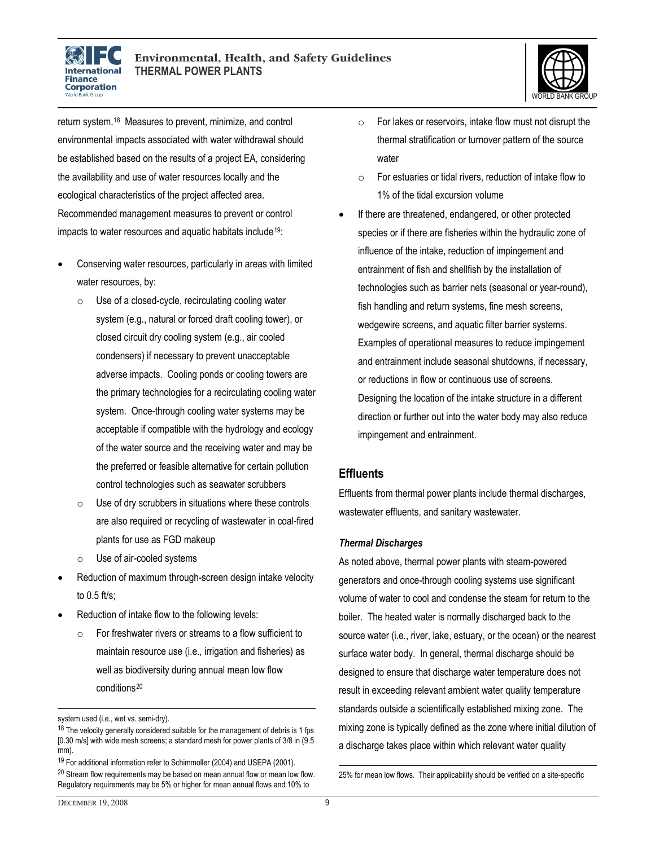



return system.[1](#page-8-0)8 Measures to prevent, minimize, and control environmental impacts associated with water withdrawal should be established based on the results of a project EA, considering the availability and use of water resources locally and the ecological characteristics of the project affected area. Recommended management measures to prevent or control impacts to water resources and aquatic habitats include<sup>[1](#page-8-1)9:</sup>

- Conserving water resources, particularly in areas with limited water resources, by:
	- Use of a closed-cycle, recirculating cooling water system (e.g., natural or forced draft cooling tower), or closed circuit dry cooling system (e.g., air cooled condensers) if necessary to prevent unacceptable adverse impacts. Cooling ponds or cooling towers are the primary technologies for a recirculating cooling water system. Once-through cooling water systems may be acceptable if compatible with the hydrology and ecology of the water source and the receiving water and may be the preferred or feasible alternative for certain pollution control technologies such as seawater scrubbers
	- $\circ$  Use of dry scrubbers in situations where these controls are also required or recycling of wastewater in coal-fired plants for use as FGD makeup
	- o Use of air-cooled systems
- Reduction of maximum through-screen design intake velocity to 0.5 ft/s;
- Reduction of intake flow to the following levels:
	- $\circ$  For freshwater rivers or streams to a flow sufficient to maintain resource use (i.e., irrigation and fisheries) as well as biodiversity during annual mean low flow conditions<sup>[2](#page-8-2)0</sup>
- o For lakes or reservoirs, intake flow must not disrupt the thermal stratification or turnover pattern of the source water
- o For estuaries or tidal rivers, reduction of intake flow to 1% of the tidal excursion volume
- If there are threatened, endangered, or other protected species or if there are fisheries within the hydraulic zone of influence of the intake, reduction of impingement and entrainment of fish and shellfish by the installation of technologies such as barrier nets (seasonal or year-round), fish handling and return systems, fine mesh screens, wedgewire screens, and aquatic filter barrier systems. Examples of operational measures to reduce impingement and entrainment include seasonal shutdowns, if necessary, or reductions in flow or continuous use of screens. Designing the location of the intake structure in a different direction or further out into the water body may also reduce impingement and entrainment.

# **Effluents**

Effluents from thermal power plants include thermal discharges, wastewater effluents, and sanitary wastewater.

# *Thermal Discharges*

As noted above, thermal power plants with steam-powered generators and once-through cooling systems use significant volume of water to cool and condense the steam for return to the boiler. The heated water is normally discharged back to the source water (i.e., river, lake, estuary, or the ocean) or the nearest surface water body. In general, thermal discharge should be designed to ensure that discharge water temperature does not result in exceeding relevant ambient water quality temperature standards outside a scientifically established mixing zone. The mixing zone is typically defined as the zone where initial dilution of a discharge takes place within which relevant water quality

l

system used (i.e., wet vs. semi-dry).

<span id="page-8-0"></span> $18$  The velocity generally considered suitable for the management of debris is 1 fps [0.30 m/s] with wide mesh screens; a standard mesh for power plants of 3/8 in (9.5 mm).

<span id="page-8-1"></span><sup>&</sup>lt;sup>19</sup> For additional information refer to Schimmoller (2004) and USEPA (2001).

<span id="page-8-2"></span><sup>&</sup>lt;sup>20</sup> Stream flow requirements may be based on mean annual flow or mean low flow. Regulatory requirements may be 5% or higher for mean annual flows and 10% to

 $\overline{a}$ 25% for mean low flows. Their applicability should be verified on a site-specific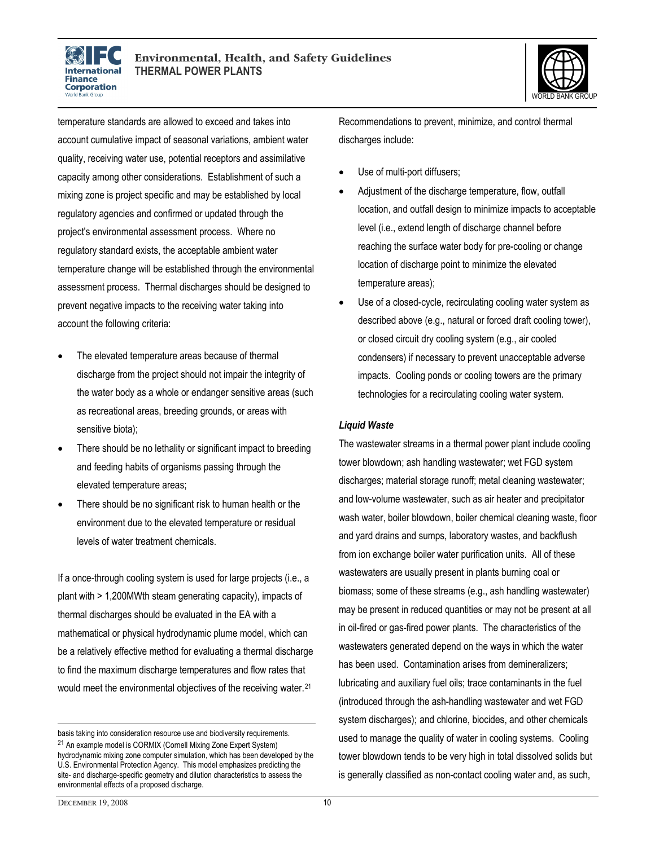



temperature standards are allowed to exceed and takes into account cumulative impact of seasonal variations, ambient water quality, receiving water use, potential receptors and assimilative capacity among other considerations. Establishment of such a mixing zone is project specific and may be established by local regulatory agencies and confirmed or updated through the project's environmental assessment process. Where no regulatory standard exists, the acceptable ambient water temperature change will be established through the environmental assessment process. Thermal discharges should be designed to prevent negative impacts to the receiving water taking into account the following criteria:

- The elevated temperature areas because of thermal discharge from the project should not impair the integrity of the water body as a whole or endanger sensitive areas (such as recreational areas, breeding grounds, or areas with sensitive biota);
- There should be no lethality or significant impact to breeding and feeding habits of organisms passing through the elevated temperature areas;
- There should be no significant risk to human health or the environment due to the elevated temperature or residual levels of water treatment chemicals.

If a once-through cooling system is used for large projects (i.e., a plant with > 1,200MWth steam generating capacity), impacts of thermal discharges should be evaluated in the EA with a mathematical or physical hydrodynamic plume model, which can be a relatively effective method for evaluating a thermal discharge to find the maximum discharge temperatures and flow rates that would meet the environmental objectives of the receiving water.[2](#page-9-0)1

Recommendations to prevent, minimize, and control thermal discharges include:

- Use of multi-port diffusers;
- Adjustment of the discharge temperature, flow, outfall location, and outfall design to minimize impacts to acceptable level (i.e., extend length of discharge channel before reaching the surface water body for pre-cooling or change location of discharge point to minimize the elevated temperature areas);
- Use of a closed-cycle, recirculating cooling water system as described above (e.g., natural or forced draft cooling tower), or closed circuit dry cooling system (e.g., air cooled condensers) if necessary to prevent unacceptable adverse impacts. Cooling ponds or cooling towers are the primary technologies for a recirculating cooling water system.

# *Liquid Waste*

The wastewater streams in a thermal power plant include cooling tower blowdown; ash handling wastewater; wet FGD system discharges; material storage runoff; metal cleaning wastewater; and low-volume wastewater, such as air heater and precipitator wash water, boiler blowdown, boiler chemical cleaning waste, floor and yard drains and sumps, laboratory wastes, and backflush from ion exchange boiler water purification units. All of these wastewaters are usually present in plants burning coal or biomass; some of these streams (e.g., ash handling wastewater) may be present in reduced quantities or may not be present at all in oil-fired or gas-fired power plants. The characteristics of the wastewaters generated depend on the ways in which the water has been used. Contamination arises from demineralizers; lubricating and auxiliary fuel oils; trace contaminants in the fuel (introduced through the ash-handling wastewater and wet FGD system discharges); and chlorine, biocides, and other chemicals used to manage the quality of water in cooling systems. Cooling tower blowdown tends to be very high in total dissolved solids but is generally classified as non-contact cooling water and, as such,

<span id="page-9-0"></span>basis taking into consideration resource use and biodiversity requirements. 21 An example model is CORMIX (Cornell Mixing Zone Expert System) hydrodynamic mixing zone computer simulation, which has been developed by the U.S. Environmental Protection Agency. This model emphasizes predicting the site- and discharge-specific geometry and dilution characteristics to assess the environmental effects of a proposed discharge.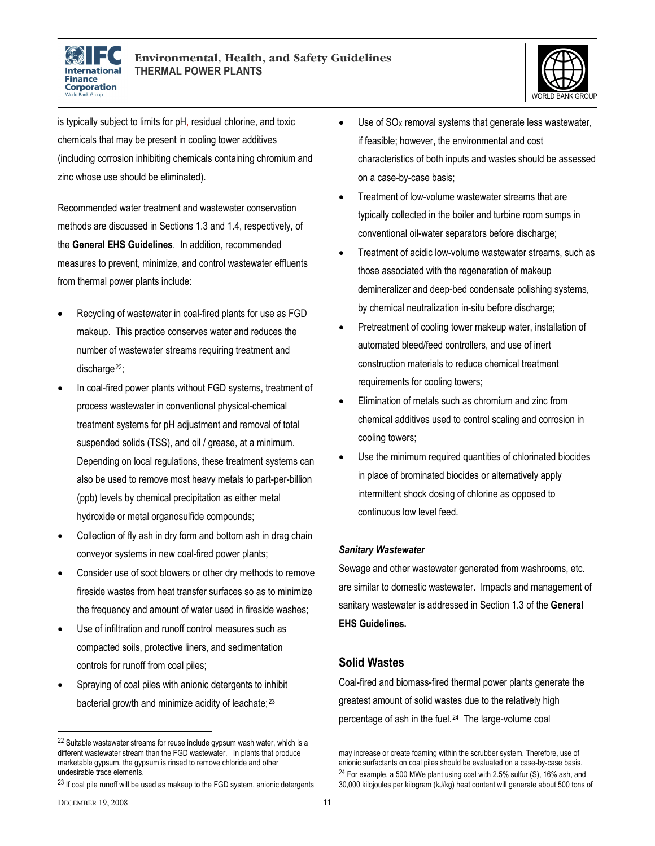<span id="page-10-0"></span>



is typically subject to limits for pH, residual chlorine, and toxic chemicals that may be present in cooling tower additives (including corrosion inhibiting chemicals containing chromium and zinc whose use should be eliminated).

Recommended water treatment and wastewater conservation methods are discussed in Sections 1.3 and 1.4, respectively, of the **General EHS Guidelines**. In addition, recommended measures to prevent, minimize, and control wastewater effluents from thermal power plants include:

- Recycling of wastewater in coal-fired plants for use as FGD makeup. This practice conserves water and reduces the number of wastewater streams requiring treatment and discharge<sup>[22](#page-10-0)</sup>;
- In coal-fired power plants without FGD systems, treatment of process wastewater in conventional physical-chemical treatment systems for pH adjustment and removal of total suspended solids (TSS), and oil / grease, at a minimum. Depending on local regulations, these treatment systems can also be used to remove most heavy metals to part-per-billion (ppb) levels by chemical precipitation as either metal hydroxide or metal organosulfide compounds;
- Collection of fly ash in dry form and bottom ash in drag chain conveyor systems in new coal-fired power plants;
- Consider use of soot blowers or other dry methods to remove fireside wastes from heat transfer surfaces so as to minimize the frequency and amount of water used in fireside washes;
- Use of infiltration and runoff control measures such as compacted soils, protective liners, and sedimentation controls for runoff from coal piles;
- Spraying of coal piles with anionic detergents to inhibit bacterial growth and minimize acidity of leachate;<sup>[2](#page-10-0)3</sup>
- Use of  $SO<sub>X</sub>$  removal systems that generate less wastewater, if feasible; however, the environmental and cost characteristics of both inputs and wastes should be assessed on a case-by-case basis;
- Treatment of low-volume wastewater streams that are typically collected in the boiler and turbine room sumps in conventional oil-water separators before discharge;
- Treatment of acidic low-volume wastewater streams, such as those associated with the regeneration of makeup demineralizer and deep-bed condensate polishing systems, by chemical neutralization in-situ before discharge;
- Pretreatment of cooling tower makeup water, installation of automated bleed/feed controllers, and use of inert construction materials to reduce chemical treatment requirements for cooling towers;
- Elimination of metals such as chromium and zinc from chemical additives used to control scaling and corrosion in cooling towers;
- Use the minimum required quantities of chlorinated biocides in place of brominated biocides or alternatively apply intermittent shock dosing of chlorine as opposed to continuous low level feed.

# *Sanitary Wastewater*

Sewage and other wastewater generated from washrooms, etc. are similar to domestic wastewater. Impacts and management of sanitary wastewater is addressed in Section 1.3 of the **General EHS Guidelines.**

# **Solid Wastes**

Coal-fired and biomass-fired thermal power plants generate the greatest amount of solid wastes due to the relatively high percentage of ash in the fuel.[24](#page-10-0) The large-volume coal

<sup>&</sup>lt;sup>22</sup> Suitable wastewater streams for reuse include gypsum wash water, which is a different wastewater stream than the FGD wastewater. In plants that produce marketable gypsum, the gypsum is rinsed to remove chloride and other undesirable trace elements.

<sup>&</sup>lt;sup>23</sup> If coal pile runoff will be used as makeup to the FGD system, anionic detergents

 $\overline{a}$ may increase or create foaming within the scrubber system. Therefore, use of anionic surfactants on coal piles should be evaluated on a case-by-case basis. 24 For example, a 500 MWe plant using coal with 2.5% sulfur (S), 16% ash, and 30,000 kilojoules per kilogram (kJ/kg) heat content will generate about 500 tons of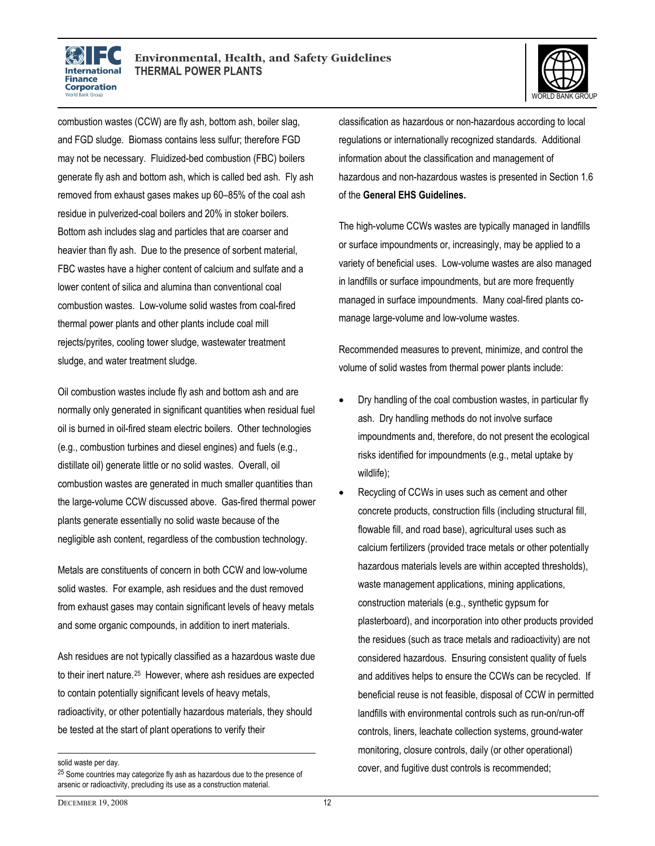<span id="page-11-0"></span>



combustion wastes (CCW) are fly ash, bottom ash, boiler slag, and FGD sludge. Biomass contains less sulfur; therefore FGD may not be necessary. Fluidized-bed combustion (FBC) boilers generate fly ash and bottom ash, which is called bed ash. Fly ash removed from exhaust gases makes up 60–85% of the coal ash residue in pulverized-coal boilers and 20% in stoker boilers. Bottom ash includes slag and particles that are coarser and heavier than fly ash. Due to the presence of sorbent material, FBC wastes have a higher content of calcium and sulfate and a lower content of silica and alumina than conventional coal combustion wastes. Low-volume solid wastes from coal-fired thermal power plants and other plants include coal mill rejects/pyrites, cooling tower sludge, wastewater treatment sludge, and water treatment sludge.

Oil combustion wastes include fly ash and bottom ash and are normally only generated in significant quantities when residual fuel oil is burned in oil-fired steam electric boilers. Other technologies (e.g., combustion turbines and diesel engines) and fuels (e.g., distillate oil) generate little or no solid wastes. Overall, oil combustion wastes are generated in much smaller quantities than the large-volume CCW discussed above. Gas-fired thermal power plants generate essentially no solid waste because of the negligible ash content, regardless of the combustion technology.

Metals are constituents of concern in both CCW and low-volume solid wastes. For example, ash residues and the dust removed from exhaust gases may contain significant levels of heavy metals and some organic compounds, in addition to inert materials.

Ash residues are not typically classified as a hazardous waste due to their inert nature.[25](#page-11-0) However, where ash residues are expected to contain potentially significant levels of heavy metals, radioactivity, or other potentially hazardous materials, they should be tested at the start of plant operations to verify their

solid waste per day.

-

classification as hazardous or non-hazardous according to local regulations or internationally recognized standards. Additional information about the classification and management of hazardous and non-hazardous wastes is presented in Section 1.6 of the **General EHS Guidelines.**

The high-volume CCWs wastes are typically managed in landfills or surface impoundments or, increasingly, may be applied to a variety of beneficial uses. Low-volume wastes are also managed in landfills or surface impoundments, but are more frequently managed in surface impoundments. Many coal-fired plants comanage large-volume and low-volume wastes.

Recommended measures to prevent, minimize, and control the volume of solid wastes from thermal power plants include:

- Dry handling of the coal combustion wastes, in particular fly ash. Dry handling methods do not involve surface impoundments and, therefore, do not present the ecological risks identified for impoundments (e.g., metal uptake by wildlife);
- Recycling of CCWs in uses such as cement and other concrete products, construction fills (including structural fill, flowable fill, and road base), agricultural uses such as calcium fertilizers (provided trace metals or other potentially hazardous materials levels are within accepted thresholds), waste management applications, mining applications, construction materials (e.g., synthetic gypsum for plasterboard), and incorporation into other products provided the residues (such as trace metals and radioactivity) are not considered hazardous. Ensuring consistent quality of fuels and additives helps to ensure the CCWs can be recycled. If beneficial reuse is not feasible, disposal of CCW in permitted landfills with environmental controls such as run-on/run-off controls, liners, leachate collection systems, ground-water monitoring, closure controls, daily (or other operational) cover, and fugitive dust controls is recommended;

<sup>&</sup>lt;sup>25</sup> Some countries may categorize fly ash as hazardous due to the presence of arsenic or radioactivity, precluding its use as a construction material.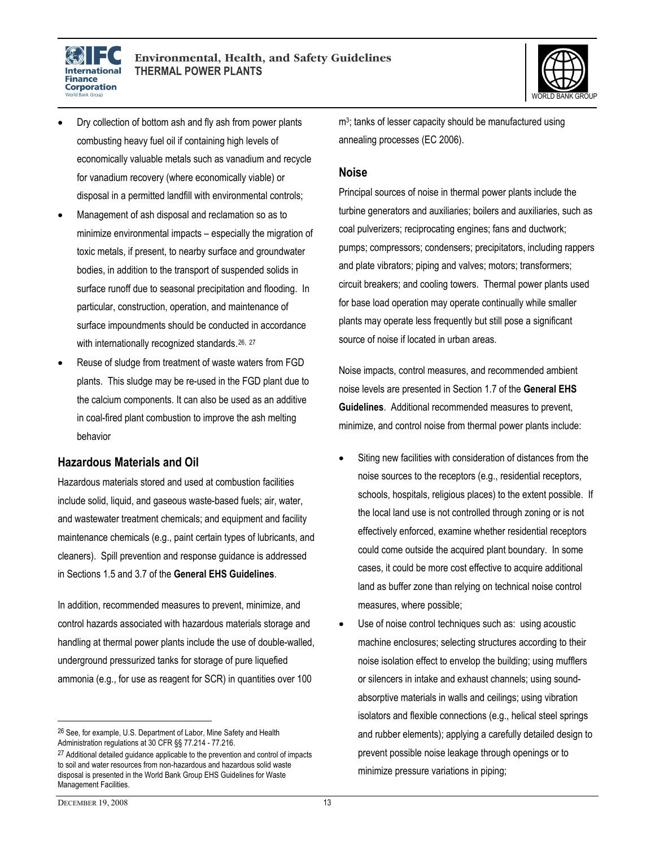<span id="page-12-0"></span>



- Dry collection of bottom ash and fly ash from power plants combusting heavy fuel oil if containing high levels of economically valuable metals such as vanadium and recycle for vanadium recovery (where economically viable) or disposal in a permitted landfill with environmental controls;
- Management of ash disposal and reclamation so as to minimize environmental impacts – especially the migration of toxic metals, if present, to nearby surface and groundwater bodies, in addition to the transport of suspended solids in surface runoff due to seasonal precipitation and flooding. In particular, construction, operation, and maintenance of surface impoundments should be conducted in accordance with internationally recognized standards. [26](#page-12-0), [2](#page-12-0)7
- Reuse of sludge from treatment of waste waters from FGD plants. This sludge may be re-used in the FGD plant due to the calcium components. It can also be used as an additive in coal-fired plant combustion to improve the ash melting behavior

# **Hazardous Materials and Oil**

Hazardous materials stored and used at combustion facilities include solid, liquid, and gaseous waste-based fuels; air, water, and wastewater treatment chemicals; and equipment and facility maintenance chemicals (e.g., paint certain types of lubricants, and cleaners). Spill prevention and response guidance is addressed in Sections 1.5 and 3.7 of the **General EHS Guidelines**.

In addition, recommended measures to prevent, minimize, and control hazards associated with hazardous materials storage and handling at thermal power plants include the use of double-walled, underground pressurized tanks for storage of pure liquefied ammonia (e.g., for use as reagent for SCR) in quantities over 100

m3; tanks of lesser capacity should be manufactured using annealing processes (EC 2006).

# **Noise**

Principal sources of noise in thermal power plants include the turbine generators and auxiliaries; boilers and auxiliaries, such as coal pulverizers; reciprocating engines; fans and ductwork; pumps; compressors; condensers; precipitators, including rappers and plate vibrators; piping and valves; motors; transformers; circuit breakers; and cooling towers. Thermal power plants used for base load operation may operate continually while smaller plants may operate less frequently but still pose a significant source of noise if located in urban areas.

Noise impacts, control measures, and recommended ambient noise levels are presented in Section 1.7 of the **General EHS Guidelines**. Additional recommended measures to prevent, minimize, and control noise from thermal power plants include:

- Siting new facilities with consideration of distances from the noise sources to the receptors (e.g., residential receptors, schools, hospitals, religious places) to the extent possible. If the local land use is not controlled through zoning or is not effectively enforced, examine whether residential receptors could come outside the acquired plant boundary. In some cases, it could be more cost effective to acquire additional land as buffer zone than relying on technical noise control measures, where possible;
- Use of noise control techniques such as: using acoustic machine enclosures; selecting structures according to their noise isolation effect to envelop the building; using mufflers or silencers in intake and exhaust channels; using soundabsorptive materials in walls and ceilings; using vibration isolators and flexible connections (e.g., helical steel springs and rubber elements); applying a carefully detailed design to prevent possible noise leakage through openings or to minimize pressure variations in piping;

1

<sup>26</sup> See, for example, U.S. Department of Labor, Mine Safety and Health Administration regulations at 30 CFR §§ 77.214 - 77.216.

<sup>&</sup>lt;sup>27</sup> Additional detailed guidance applicable to the prevention and control of impacts to soil and water resources from non-hazardous and hazardous solid waste disposal is presented in the World Bank Group EHS Guidelines for Waste Management Facilities.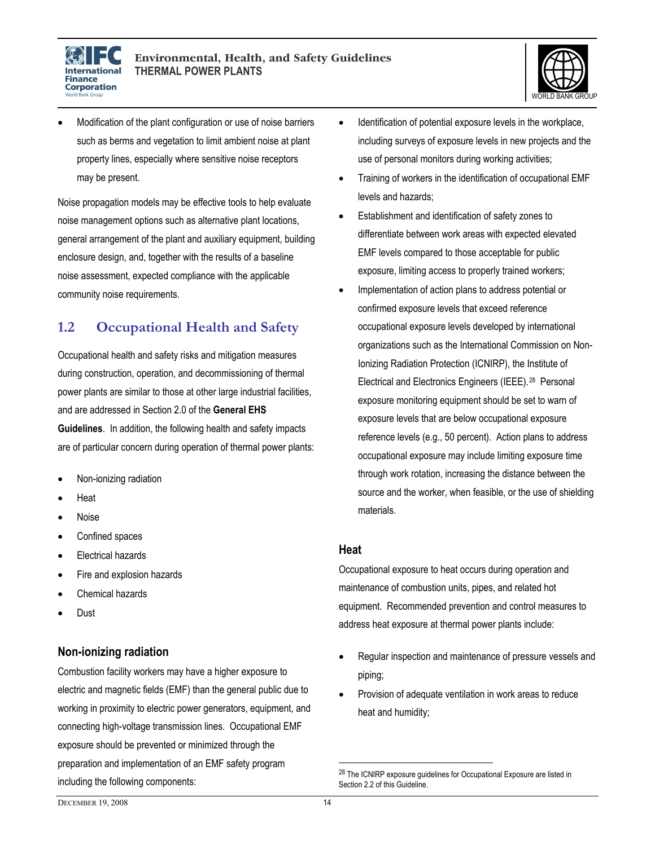<span id="page-13-0"></span>



• Modification of the plant configuration or use of noise barriers such as berms and vegetation to limit ambient noise at plant property lines, especially where sensitive noise receptors may be present.

Noise propagation models may be effective tools to help evaluate noise management options such as alternative plant locations, general arrangement of the plant and auxiliary equipment, building enclosure design, and, together with the results of a baseline noise assessment, expected compliance with the applicable community noise requirements.

# **1.2 Occupational Health and Safety**

Occupational health and safety risks and mitigation measures during construction, operation, and decommissioning of thermal power plants are similar to those at other large industrial facilities, and are addressed in Section 2.0 of the **General EHS Guidelines**. In addition, the following health and safety impacts are of particular concern during operation of thermal power plants:

- Non-ionizing radiation
- Heat
- Noise
- Confined spaces
- Electrical hazards
- Fire and explosion hazards
- Chemical hazards
- Dust

# **Non-ionizing radiation**

Combustion facility workers may have a higher exposure to electric and magnetic fields (EMF) than the general public due to working in proximity to electric power generators, equipment, and connecting high-voltage transmission lines. Occupational EMF exposure should be prevented or minimized through the preparation and implementation of an EMF safety program including the following components:

- Identification of potential exposure levels in the workplace, including surveys of exposure levels in new projects and the use of personal monitors during working activities;
- Training of workers in the identification of occupational EMF levels and hazards;
- Establishment and identification of safety zones to differentiate between work areas with expected elevated EMF levels compared to those acceptable for public exposure, limiting access to properly trained workers;
- Implementation of action plans to address potential or confirmed exposure levels that exceed reference occupational exposure levels developed by international organizations such as the International Commission on Non-Ionizing Radiation Protection (ICNIRP), the Institute of Electrical and Electronics Engineers (IEEE).[28](#page-13-0) Personal exposure monitoring equipment should be set to warn of exposure levels that are below occupational exposure reference levels (e.g., 50 percent). Action plans to address occupational exposure may include limiting exposure time through work rotation, increasing the distance between the source and the worker, when feasible, or the use of shielding materials.

# **Heat**

Occupational exposure to heat occurs during operation and maintenance of combustion units, pipes, and related hot equipment. Recommended prevention and control measures to address heat exposure at thermal power plants include:

- Regular inspection and maintenance of pressure vessels and piping;
- Provision of adequate ventilation in work areas to reduce heat and humidity;

<sup>&</sup>lt;sup>28</sup> The ICNIRP exposure guidelines for Occupational Exposure are listed in Section 2.2 of this Guideline.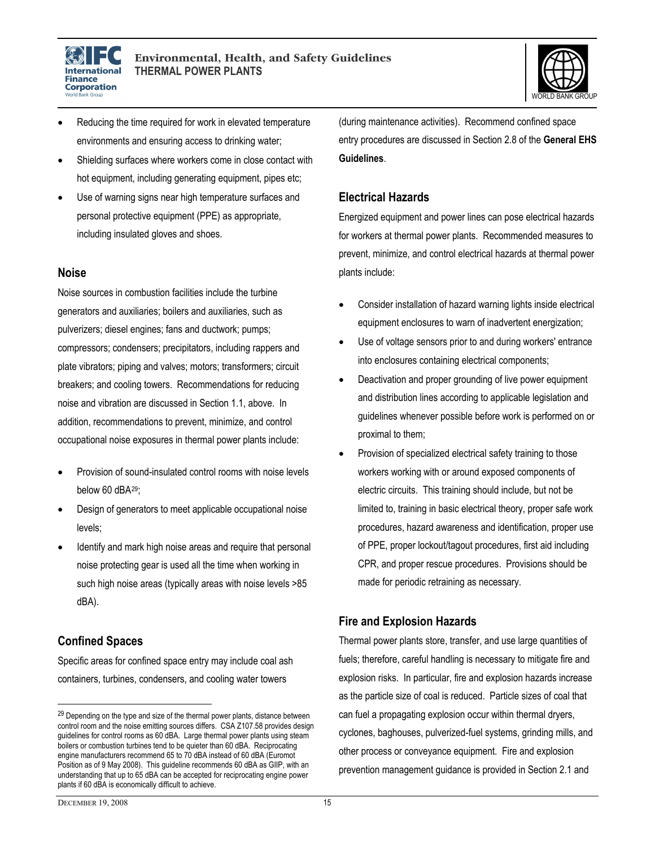<span id="page-14-0"></span>



- Reducing the time required for work in elevated temperature environments and ensuring access to drinking water;
- Shielding surfaces where workers come in close contact with hot equipment, including generating equipment, pipes etc;
- Use of warning signs near high temperature surfaces and personal protective equipment (PPE) as appropriate, including insulated gloves and shoes.

# **Noise**

Noise sources in combustion facilities include the turbine generators and auxiliaries; boilers and auxiliaries, such as pulverizers; diesel engines; fans and ductwork; pumps; compressors; condensers; precipitators, including rappers and plate vibrators; piping and valves; motors; transformers; circuit breakers; and cooling towers. Recommendations for reducing noise and vibration are discussed in Section 1.1, above. In addition, recommendations to prevent, minimize, and control occupational noise exposures in thermal power plants include:

- Provision of sound-insulated control rooms with noise levels below 60 dBA<sup>[2](#page-14-0)9</sup>;
- Design of generators to meet applicable occupational noise levels;
- Identify and mark high noise areas and require that personal noise protecting gear is used all the time when working in such high noise areas (typically areas with noise levels >85 dBA).

# **Confined Spaces**

l

Specific areas for confined space entry may include coal ash containers, turbines, condensers, and cooling water towers

(during maintenance activities). Recommend confined space entry procedures are discussed in Section 2.8 of the **General EHS Guidelines**.

# **Electrical Hazards**

Energized equipment and power lines can pose electrical hazards for workers at thermal power plants. Recommended measures to prevent, minimize, and control electrical hazards at thermal power plants include:

- Consider installation of hazard warning lights inside electrical equipment enclosures to warn of inadvertent energization;
- Use of voltage sensors prior to and during workers' entrance into enclosures containing electrical components;
- Deactivation and proper grounding of live power equipment and distribution lines according to applicable legislation and guidelines whenever possible before work is performed on or proximal to them;
- Provision of specialized electrical safety training to those workers working with or around exposed components of electric circuits. This training should include, but not be limited to, training in basic electrical theory, proper safe work procedures, hazard awareness and identification, proper use of PPE, proper lockout/tagout procedures, first aid including CPR, and proper rescue procedures. Provisions should be made for periodic retraining as necessary.

# **Fire and Explosion Hazards**

Thermal power plants store, transfer, and use large quantities of fuels; therefore, careful handling is necessary to mitigate fire and explosion risks. In particular, fire and explosion hazards increase as the particle size of coal is reduced. Particle sizes of coal that can fuel a propagating explosion occur within thermal dryers, cyclones, baghouses, pulverized-fuel systems, grinding mills, and other process or conveyance equipment. Fire and explosion prevention management guidance is provided in Section 2.1 and

<sup>&</sup>lt;sup>29</sup> Depending on the type and size of the thermal power plants, distance between control room and the noise emitting sources differs. CSA Z107.58 provides design guidelines for control rooms as 60 dBA. Large thermal power plants using steam boilers or combustion turbines tend to be quieter than 60 dBA. Reciprocating engine manufacturers recommend 65 to 70 dBA instead of 60 dBA (Euromot Position as of 9 May 2008). This guideline recommends 60 dBA as GIIP, with an understanding that up to 65 dBA can be accepted for reciprocating engine power plants if 60 dBA is economically difficult to achieve.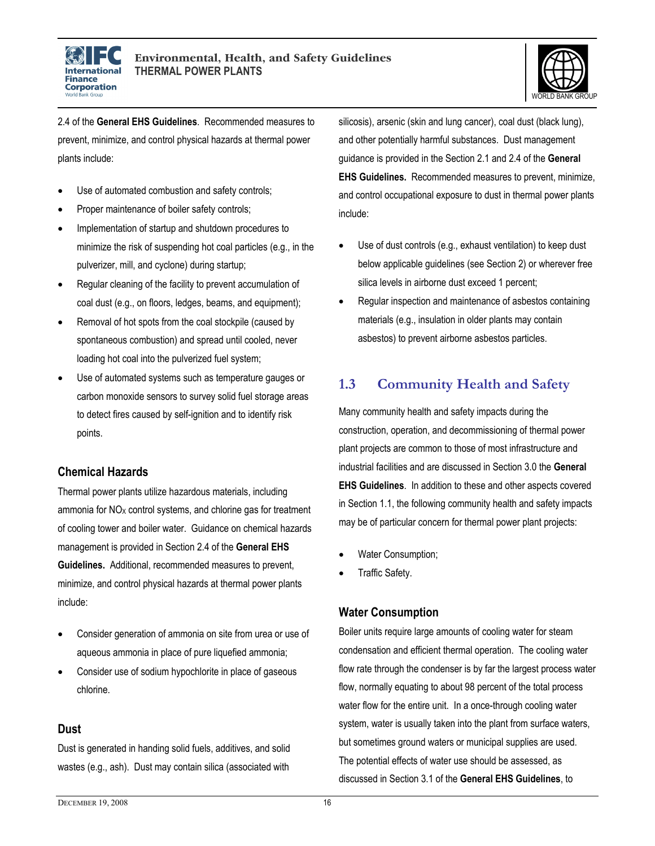



2.4 of the **General EHS Guidelines**. Recommended measures to prevent, minimize, and control physical hazards at thermal power plants include:

- Use of automated combustion and safety controls;
- Proper maintenance of boiler safety controls;
- Implementation of startup and shutdown procedures to minimize the risk of suspending hot coal particles (e.g., in the pulverizer, mill, and cyclone) during startup;
- Regular cleaning of the facility to prevent accumulation of coal dust (e.g., on floors, ledges, beams, and equipment);
- Removal of hot spots from the coal stockpile (caused by spontaneous combustion) and spread until cooled, never loading hot coal into the pulverized fuel system;
- Use of automated systems such as temperature gauges or carbon monoxide sensors to survey solid fuel storage areas to detect fires caused by self-ignition and to identify risk points.

# **Chemical Hazards**

Thermal power plants utilize hazardous materials, including ammonia for  $NO<sub>X</sub>$  control systems, and chlorine gas for treatment of cooling tower and boiler water. Guidance on chemical hazards management is provided in Section 2.4 of the **General EHS Guidelines.** Additional, recommended measures to prevent, minimize, and control physical hazards at thermal power plants include:

- Consider generation of ammonia on site from urea or use of aqueous ammonia in place of pure liquefied ammonia;
- Consider use of sodium hypochlorite in place of gaseous chlorine.

# **Dust**

Dust is generated in handing solid fuels, additives, and solid wastes (e.g., ash). Dust may contain silica (associated with

silicosis), arsenic (skin and lung cancer), coal dust (black lung), and other potentially harmful substances. Dust management guidance is provided in the Section 2.1 and 2.4 of the **General EHS Guidelines.** Recommended measures to prevent, minimize, and control occupational exposure to dust in thermal power plants include:

- Use of dust controls (e.g., exhaust ventilation) to keep dust below applicable guidelines (see Section 2) or wherever free silica levels in airborne dust exceed 1 percent;
- Regular inspection and maintenance of asbestos containing materials (e.g., insulation in older plants may contain asbestos) to prevent airborne asbestos particles.

# **1.3 Community Health and Safety**

Many community health and safety impacts during the construction, operation, and decommissioning of thermal power plant projects are common to those of most infrastructure and industrial facilities and are discussed in Section 3.0 the **General EHS Guidelines**. In addition to these and other aspects covered in Section 1.1, the following community health and safety impacts may be of particular concern for thermal power plant projects:

- Water Consumption;
- Traffic Safety.

# **Water Consumption**

Boiler units require large amounts of cooling water for steam condensation and efficient thermal operation. The cooling water flow rate through the condenser is by far the largest process water flow, normally equating to about 98 percent of the total process water flow for the entire unit. In a once-through cooling water system, water is usually taken into the plant from surface waters, but sometimes ground waters or municipal supplies are used. The potential effects of water use should be assessed, as discussed in Section 3.1 of the **General EHS Guidelines**, to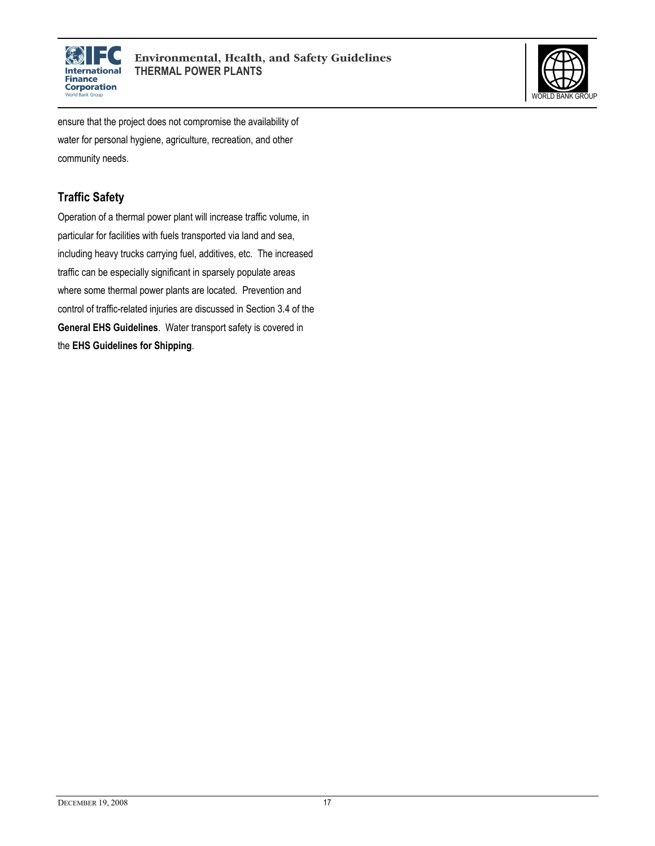



ensure that the project does not compromise the availability of water for personal hygiene, agriculture, recreation, and other community needs.

# **Traffic Safety**

Operation of a thermal power plant will increase traffic volume, in particular for facilities with fuels transported via land and sea, including heavy trucks carrying fuel, additives, etc. The increased traffic can be especially significant in sparsely populate areas where some thermal power plants are located. Prevention and control of traffic-related injuries are discussed in Section 3.4 of the **General EHS Guidelines**. Water transport safety is covered in the **EHS Guidelines for Shipping**.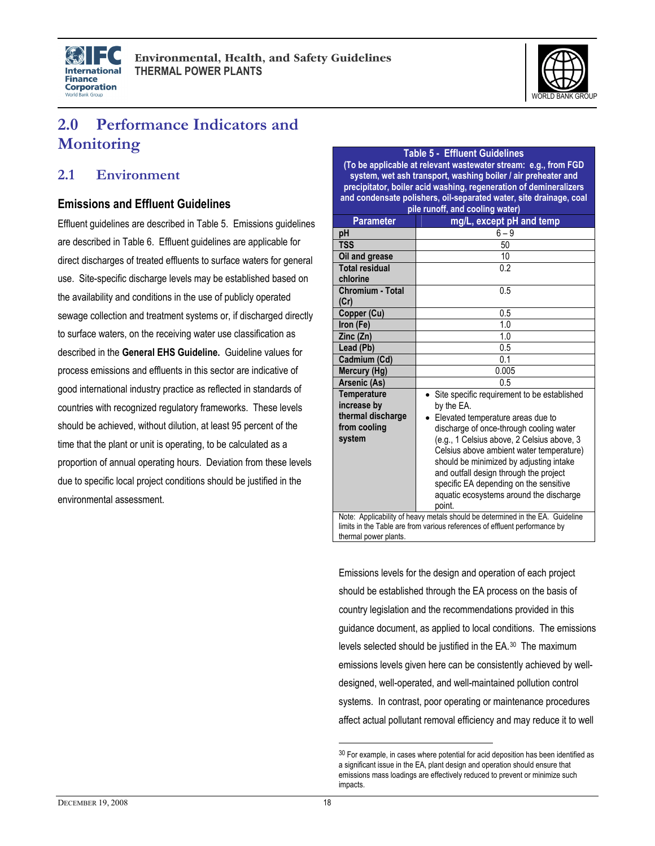<span id="page-17-0"></span>



# **2.0 Performance Indicators and Monitoring**

# **2.1 Environment**

# **Emissions and Effluent Guidelines**

Effluent guidelines are described in Table 5. Emissions guidelines are described in Table 6. Effluent guidelines are applicable for direct discharges of treated effluents to surface waters for general use. Site-specific discharge levels may be established based on the availability and conditions in the use of publicly operated sewage collection and treatment systems or, if discharged directly to surface waters, on the receiving water use classification as described in the **General EHS Guideline.** Guideline values for process emissions and effluents in this sector are indicative of good international industry practice as reflected in standards of countries with recognized regulatory frameworks. These levels should be achieved, without dilution, at least 95 percent of the time that the plant or unit is operating, to be calculated as a proportion of annual operating hours. Deviation from these levels due to specific local project conditions should be justified in the environmental assessment.

#### **Table 5 - Effluent Guidelines**

**(To be applicable at relevant wastewater stream: e.g., from FGD system, wet ash transport, washing boiler / air preheater and precipitator, boiler acid washing, regeneration of demineralizers and condensate polishers, oil-separated water, site drainage, coal pile runoff, and cooling water)** 

| $\sim$ . $\sim$ , and cooning water, |                                                                               |
|--------------------------------------|-------------------------------------------------------------------------------|
| <b>Parameter</b>                     | mg/L, except pH and temp                                                      |
| рH                                   | $6 - 9$                                                                       |
| <b>TSS</b>                           | 50                                                                            |
| Oil and grease                       | 10                                                                            |
| <b>Total residual</b>                | 0.2                                                                           |
| chlorine                             |                                                                               |
| Chromium - Total                     | 0.5                                                                           |
| (Cr)                                 |                                                                               |
| Copper (Cu)                          | 0.5                                                                           |
| Iron (Fe)                            | 1.0                                                                           |
| Zinc (Zn)                            | 1.0                                                                           |
| Lead (Pb)                            | 0.5                                                                           |
| Cadmium (Cd)                         | 0.1                                                                           |
| Mercury (Hg)                         | 0.005                                                                         |
| Arsenic (As)                         | 0.5                                                                           |
| <b>Temperature</b>                   | • Site specific requirement to be established                                 |
| increase by                          | by the EA.                                                                    |
| thermal discharge                    | Elevated temperature areas due to                                             |
| from cooling                         | discharge of once-through cooling water                                       |
| system                               | (e.g., 1 Celsius above, 2 Celsius above, 3                                    |
|                                      | Celsius above ambient water temperature)                                      |
|                                      | should be minimized by adjusting intake                                       |
|                                      | and outfall design through the project                                        |
|                                      | specific EA depending on the sensitive                                        |
|                                      | aquatic ecosystems around the discharge                                       |
|                                      | point.                                                                        |
|                                      | Note: Applicability of heavy metals should be determined in the EA. Guideline |

limits in the Table are from various references of effluent performance by thermal power plants.

Emissions levels for the design and operation of each project should be established through the EA process on the basis of country legislation and the recommendations provided in this guidance document, as applied to local conditions. The emissions levels selected should be justified in the EA.[30](#page-17-0) The maximum emissions levels given here can be consistently achieved by welldesigned, well-operated, and well-maintained pollution control systems. In contrast, poor operating or maintenance procedures affect actual pollutant removal efficiency and may reduce it to well

l

 $30$  For example, in cases where potential for acid deposition has been identified as a significant issue in the EA, plant design and operation should ensure that emissions mass loadings are effectively reduced to prevent or minimize such impacts.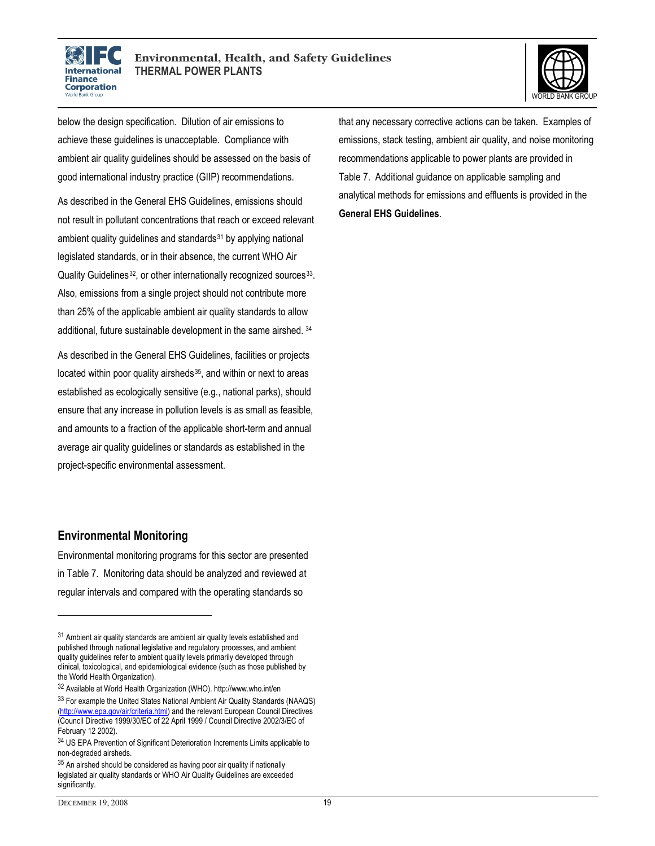<span id="page-18-0"></span>



below the design specification. Dilution of air emissions to achieve these guidelines is unacceptable. Compliance with ambient air quality guidelines should be assessed on the basis of good international industry practice (GIIP) recommendations.

As described in the General EHS Guidelines, emissions should not result in pollutant concentrations that reach or exceed relevant ambient quality guidelines and standards<sup>[3](#page-18-0)1</sup> by applying national legislated standards, or in their absence, the current WHO Air Quality Guidelines<sup>[3](#page-18-0)2</sup>, or other internationally recognized sources<sup>[33](#page-18-0)</sup>. Also, emissions from a single project should not contribute more than 25% of the applicable ambient air quality standards to allow additional, future sustainable development in the same airshed. [34](#page-18-0)

As described in the General EHS Guidelines, facilities or projects located within poor quality airsheds<sup>[3](#page-18-0)5</sup>, and within or next to areas established as ecologically sensitive (e.g., national parks), should ensure that any increase in pollution levels is as small as feasible, and amounts to a fraction of the applicable short-term and annual average air quality guidelines or standards as established in the project-specific environmental assessment.

# **Environmental Monitoring**

Environmental monitoring programs for this sector are presented in Table 7. Monitoring data should be analyzed and reviewed at regular intervals and compared with the operating standards so

that any necessary corrective actions can be taken. Examples of emissions, stack testing, ambient air quality, and noise monitoring recommendations applicable to power plants are provided in Table 7. Additional guidance on applicable sampling and analytical methods for emissions and effluents is provided in the **General EHS Guidelines**.

 $\overline{\phantom{a}}$ 

 $31$  Ambient air quality standards are ambient air quality levels established and published through national legislative and regulatory processes, and ambient quality guidelines refer to ambient quality levels primarily developed through clinical, toxicological, and epidemiological evidence (such as those published by the World Health Organization).

<sup>32</sup> Available at World Health Organization (WHO). http://www.who.int/en 33 For example the United States National Ambient Air Quality Standards (NAAQS) (http://www.epa.gov/air/criteria.html) and the relevant European Council Directives (Council Directive 1999/30/EC of 22 April 1999 / Council Directive 2002/3/EC of February 12 2002).

<sup>&</sup>lt;sup>34</sup> US EPA Prevention of Significant Deterioration Increments Limits applicable to non-degraded airsheds.

<sup>&</sup>lt;sup>35</sup> An airshed should be considered as having poor air quality if nationally legislated air quality standards or WHO Air Quality Guidelines are exceeded significantly.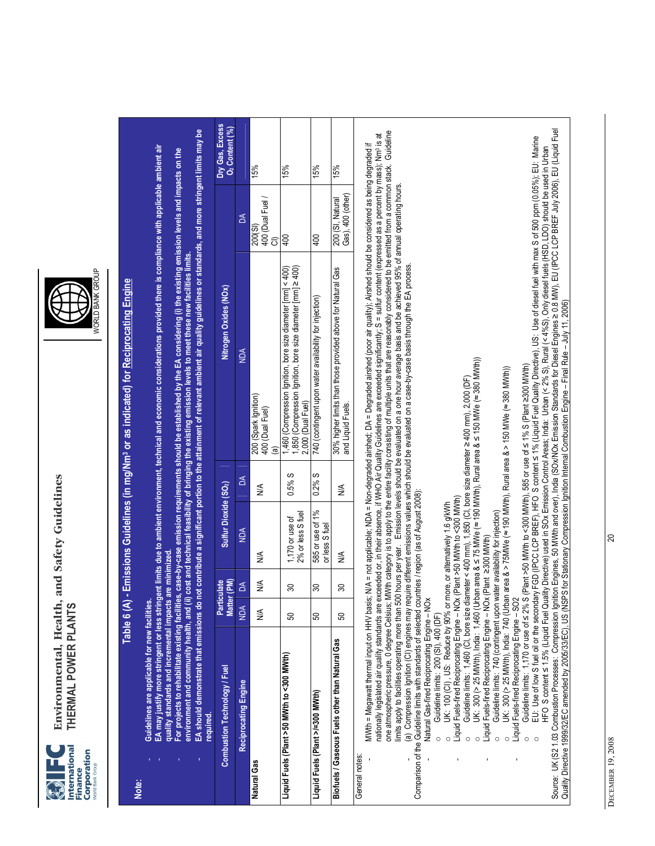

Environmental, Health, and Safety Guidelines **Environmental, Health, and Safety Guidelines** THERMAL POWER PLANTS **THERMAL POWER PLANTS**



# Table 6 (A) - Emissions Guidelines (in mg/Nm<sup>3</sup> or as indicated) for Reciprocating Engine **Table 6 (A) - Emissions Guidelines (in mg/Nm3 or as indicated) for Reciprocating Engine**

 **Guidelines are applicable for new facilities.**  Guidelines are applicable for new facilities.

**Note:** 

- EA may justify more stringent or less stringent limits due to ambient environment, technical and economic considerations provided there is compliance with applicable ambient air **EA may justify more stringent or less stringent limits due to ambient environment, technical and economic considerations provided there is compliance with applicable ambient air quality standards and incremental impacts are minimized.**  quality standards and incremental impacts are minimized
	- **For projects to rehabilitate existing facilities, case-by-case emission requirements should be established by the EA considering (i) the existing emission levels and impacts on the**  For projects to rehabilitate existing facilities, case-by-case emission requirements should be established by the EA considering (i) the existing emission levels and impacts on the
- EA should demonstrate that emissions do not contribute a significant portion to the attainment of relevant ambient air quality guidelines or standards, and more stringent limits may be **environment and community health, and (ii) cost and technical feasibility of bringing the existing emission levels to meet these new facilities limits.**  environment and community health, and (ii) cost and technical feasibility of bringing the existing emission levels to meet these new facilities limits.
- **EA should demonstrate that emissions do not contribute a significant portion to the attainment of relevant ambient air quality guidelines or standards, and more stringent limits may be**

| required.                                       |               |                     |                                      |           |                                                                                                                                                 |                                       |                                      |
|-------------------------------------------------|---------------|---------------------|--------------------------------------|-----------|-------------------------------------------------------------------------------------------------------------------------------------------------|---------------------------------------|--------------------------------------|
| Combustion Technology / Fuel                    | <b>Matter</b> | (PM)<br>Particulate | Sulfur Dioxide (SO <sub>2</sub> )    |           | Nitrogen Oxides (NOx)                                                                                                                           |                                       | Dry Gas, Excess<br>$O2$ Content $(%$ |
| Reciprocating Engine                            | NDA           | Å                   | ΔQ                                   | ð         | ΔQ                                                                                                                                              | ð                                     |                                      |
| Natural Gas                                     | ≸             | ≸                   | ≸                                    | ≸         | 200 (Spark Ignition)<br>400 (Dual Fuel)                                                                                                         | 400 (Dual Fuel<br>200(SI)             | 15%                                  |
| Liquid Fuels (Plant >50 MWth to <300 MWth)      | ន             | 30                  | 1,170 or use of<br>2% or less S fuel | $0.5\%$ S | 1,460 (Compression Ignition, bore size diameter [mm] < 400)<br>1,850 (Compression Ignition, bore size diameter [mm] ≥ 400)<br>2,000 (Dual Fuel) | 400                                   | 15%                                  |
| Liquid Fuels (Plant >/=300 MWth)                | ន             | వి                  | 585 or use of 1%<br>or less S fuel   | $0.2\%$ S | 740 (contingent upon water availability for injection)                                                                                          | 400                                   | 15%                                  |
| Biofuels / Gaseous Fuels other than Natural Gas | ន             | నె                  | ≸                                    | ≸         | 30% higher limits than those provided above for Natural Gas<br>and Liquid Fuels.                                                                | 200 (SI, Natural<br>Gas), 400 (other) | 15%                                  |
| General notes                                   |               |                     |                                      |           |                                                                                                                                                 |                                       |                                      |

- one atmospheric pressure, 0 degree Celsius; MWth category is to apply to the entire facility consisting of multiple units that are reasonably considered to be emitted from a common stack. Guideline one atmospheric pressure, 0 degree Celsius; MWth category is to apply to the entire facility consisting of multiple units that are reasonably considered to be emitted from a common stack. Guideline nationally legislated air quality standards are exceeded or, in their absence, if WHO Air Quidelines are exceeded significantly; S = sulfur content (expressed as a percent by mass); Nm3 is at nationally legislated air quality standards are exceeded or, in their absence, if WHO Air Quality Guidelines are exceeded significantly, S = sulfur content (expressed as a percent by mass); Nm<sup>3</sup> is at MWth = Megawatt thermal input on HHV basis; N/A = not applicable; NDA = Non-degraded airshed; DA = Degraded airshed (poor air quality); Airshed should be considered as being degraded if - MWth = Megawatt thermal input on HHV basis; NIA ≈ not applicable; NDA = Non-degraded airshed (airshed dished air quality); Airshed should be considered as being degraded if limits apply to facilities operating more than 500 hours per year. Emission levels should be evaluated on a one hour average basis and be achieved 95% of annual operating hours. imits apply to facilities operating more than 500 hours per year. Emission levels should be evaluated on a one hour average basis and be achieved 95% of annual operating hours
	- (a) Compression Ignition (CI) engines may require different emissions values which should be evaluated on a case-by-case basis through the EA process. (a) Compression Ignition (CI) engines may require different emissions values which should be evaluated on a case-by-case basis through the EA process
		- Comparison of the Guideline limits with standards of selected countries / region (as of August 2008): Comparison of the Guideline limits with standards of selected countries / region (as of August 2008)
			- Natural Gas-fired Reciprocating Engine NOx Natural Gas-fired Reciprocating Engine – NOx
				- Guideline limits: 200 (SI), 400 (DF) Guideline limits: 200 (SI), 400 (DF) o
- UK: 100 (CI) , US: Reduce by 90% or more, or alternatively 1.6 g/kWh UK: 100 (CI), US: Reduce by 90% or more, or alternatively 1.6 g/kWh o
- Liquid Fuels-fired Reciprocating Engine NOx (Plant >50 MWth to <300 MWth) Liquid Fuels-fired Reciprocating Engine - NOx (Plant >50 MWth to <300 MWth)
- Guideline limits: 1,460 (CI, bore size diameter < 400 mm), 1,850 (CI, bore size diameter ≥ 400 mm), 2,000 (DF) Guideline limits: 1,460 (Cl, bore size diameter < 400 mm), 1,850 (Cl, bore size diameter ≥ 400 mm), 2,000 (DF) o
- UK: 300 (> 25 MWth), India: 1,460 (Urban area & ≤ 75 MWe (≈ 190 MWth), Rural area & ≤ 150 MWe (≈ 380 MWth)) UK: 300 (> 25 MWth), India: 1,460 (Urban area & ≤ 75 MWe (≈ 190 MWth), Rural area & ≤ 150 MWe (≈ 380 MWth)) o
	- Liquid Fuels-fired Reciprocating Engine NOx (Plant ≥300 MWth)
	- Guideline limits: 740 (contingent upon water availability for injection) Guideline limits: 740 (contingent upon water availability for injection) Liquid Fuels-fired Reciprocating Engine – NOx (Plant ≥300 MWth) o
- UK: 300 (> 25 MWth), India: 740 (Urban area & > 75MWe (≈ 190 MWth), Rural area & > 150 MWe (≈ 380 MWth)) UK: 300 (> 25 MWth), India: 740 (Urban area&>75MWe (≈ 190 MWth), Rural area&> 150 MWe (≈ 380 MWth)) o
	- Liquid Fuels-fired Reciprocating Engine SO2 Liquid Fuels-fired Reciprocating Engine - SO2
		-
- Guideline limits: 1,170 or use of ≤ 2% S (Plant >50 MWth to <300 MWth), 585 or use of ≤ 1% S (Plant ≥300 MWth) Guideline limits: 1,170 or use of ≤ 2% S (Plant >50 MWth to <300 MWth), 555 or use of ≤ 1% S (Plant ≥300 MWth) o
- o EU: Use of low S fuel oil or the secondary FGD (IPCC LCP BREF), HFO S content≤ 1% (Liquid Fuel Quality Directive), US: Use of diesel fuel with max S of 500 ppm (0.05%); EU: Marine<br>HFO S content ≤ 1.5% (Liquid Fuel Quali Source: UK (S2 1.03 Combustion Processes: Compression Ignition Engines, 50 MWth and over), India Emission Standards for Diesel Engines ≥ 0.8 MW), EU (IPCC LCP BREF July 2006), EU (Liquid Fuel EU: Use of low S fuel oil or the secondary FGD (IPCC LCP BREF), HFO S content ≤ 1% (Liquid Fuel Quality Directive), US: Use of diesel fuel with max S of 500 ppm (0.05%); EU: Marine EU: Use of low S fuel oil or the secondary FGD (IPCC LCP BREF), HFO S content ≤ 1% (Liquid Fuel Quality Directive), US: Use of diesel fuel with max S of 500 ppm (0.05%); EU: Marine HFO S content ≤ 1.5% (Liquid Fuel Quality Directive) used in SOx Emission Control Areas; India: Urban (< 2% S), Rural (< 4%S), Only diesel fuels (HSD, LDO) should be used in Urban Quality Directive 1999/32/EC amended by 2005/33/EC), US (NSPS for Stationary Compression Ignition Internal Combustion Engine – Final Rule – July 11, 2006)

Quality Directive 1999/32/EC amended by 2005/33/EC), US (NSPS for Stationary Compression Ignition Internal Combustion Engine – Final Rule – July 11, 2006)

DECEMBER 19, 2008 2008 DECEMBER 19, 2008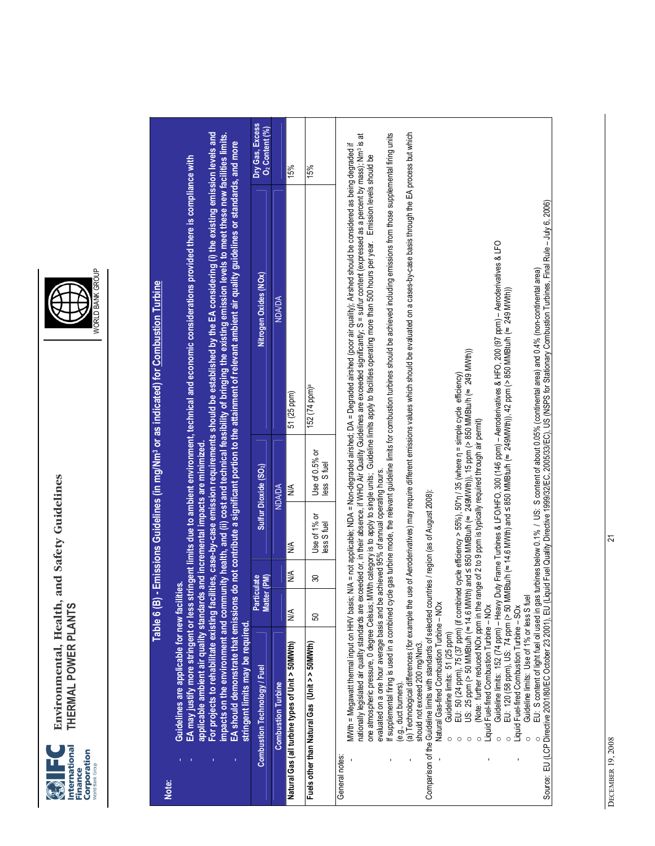

Environmental, Health, and Safety Guidelines **Environmental, Health, and Safety Guidelines** THERMAL POWER PLANTS **THERMAL POWER PLANTS**



# Table 6 (B) - Emissions Guidelines (in mg/Nm<sup>3</sup> or as indicated) for Combustion Turbine **Table 6 (B) - Emissions Guidelines (in mg/Nm3 or as indicated) for Combustion Turbine**

Guidelines are applicable for new facilities. **Guidelines are applicable for new facilities.** 

**Note:** 

- EA may justify more stringent or less stringent limits due to ambient environment, technical and economic considerations provided there is compliance with **EA may justify more stringent or less stringent limits due to ambient environment, technical and economic considerations provided there is compliance with applicable ambient air quality standards and incremental impacts are minimized.**  applicable ambient air quality standards and incremental impacts are minimized.
- **For projects to rehabilitate existing facilities, case-by-case emission requirements should be established by the EA considering (i) the existing emission levels and impacts on the environment and community health, and (ii) cost and technical feasibility of bringing the existing emission levels to meet these new facilities limits.**  For projects to rehabilitate existing facilities, case-by-case emission requirements should be established by the EA considering (i) the existing emission levels and impacts on the environment and community health, and (ii) cost and technical feasibility of bringing the existing emission levels to meet these new facilities limits. EA should demonstrate that emissions do not contribute a significant portion to the attainment of relevant ambient air quality guidelines or standards, and more
- **Combustion Technology / Fuel Particulate Matter (PM) Sulfur Dioxide (SO2) Nitrogen Oxides (NOx) Dry Gas, Excess O2 Content (%)**  Dry Gas, Excess **EA should demonstrate that emissions do not contribute a significant portion to the attainment of relevant ambient air quality guidelines or standards, and more**  Particulate **stringent limits may be required.**  stringent limits may be required.

| Lournoustion Technology / Fuel                   | Matter (PM) |         |                                            | <b>Suitur Dioxide (302)</b> | NUMICO SHOWS (NOT)                                                                                                                                                                        | $O2$ Content $(%$ |
|--------------------------------------------------|-------------|---------|--------------------------------------------|-----------------------------|-------------------------------------------------------------------------------------------------------------------------------------------------------------------------------------------|-------------------|
| <b>Combustion Turbine</b>                        |             |         |                                            | <b>NDA/DA</b>               | <b>NDA/DA</b>                                                                                                                                                                             |                   |
| Natural Gas (all turbine types of Unit > 50MWth) |             | NA I NA |                                            | ≸                           | 51 (25 ppm)                                                                                                                                                                               | 15%               |
| Fuels other than Natural Gas (Unit > > 50MWth)   |             | ೫       | Use of 1% or Use of 0.5% or<br>less S fuel | less S fuel                 | $152(74 \text{ ppm})$ <sup>a</sup>                                                                                                                                                        | 15%               |
| General notes:                                   |             |         |                                            |                             | MWth = Mecawatt thermal input on HHV basis. N/A = not applicable: NDA = Non-decraded airshed iDA = Decraded airshed fooor air quality): Airshed should be considered as being decraded if |                   |

- nationally legislated air quality standards are exceeded or, in their absence, in WHO Air Quidelines are exceeded significantly; S = sulfur content (expressed as a percent by mass); Nm3 is at - MWth = Megawatt thermal input on HHV basis; N/A = not applicable; NDA = Non-degraded airshed (airshed airshed if quality); Airshed should be considered as being degraded if one atmospheric pressure, 0 degree Celsius; MWth category is to apply to single units; Guideline limits apply to facilities operating more than 500 hours per year. Emission levels should be one atmospheric pressure, 0 degree Celsius; MWth category is to apply to single units; Guideline limits apply to facilities operating more than 500 hours per year. Emission levels should be evaluated on a one hour average basis and be achieved 95% of annual operating hours. evaluated on a one hour average basis and be achieved 95% of annual operating hours.<br>evaluated on a one hour average basis and be achieved 95% of annual operating hours.
	- If supplemental firing is used in a combined cycle gas turbine mode, the relevant guideline limits for combustion turbines should be achieved including emissions from those supplemental firing units If supplemental firing is used in a combined cycle gas turbine mode, the relevant guideline limits for combustion turbines should be achieved including emissions from those supplemental firing units (e.g., duct burners). (e.g., duct burners)
- (a) Technological differences (for example the use of Aeroderivatives) may require different emissions values which should be evaluated on a cases-by-case basis through the EA process but which (a) Technological differences (for example the use of Aeroderivatives) may require different emissions values which should be evaluated on a cases-by-case basis through the EA process but which should not exceed 200 mg/Nm3. should not exceed 200 mg/Nm3.

Comparison of the Guideline limits with standards of selected countries / region (as of August 2008): Comparison of the Guideline limits with standards of selected countries / region (as of August 2008);

- Natural Gas-fired Combustion Turbine NOx Natural Gas-fired Combustion Turbine - NOx
	- Guideline limits: 51 (25 ppm) Guideline limits: 51 (25 ppm) o
- EU: 50 (24 ppm), 75 (37 ppm) (if combined cycle efficiency > 55%), 50\*n / 35 (where n = simple cycle efficiency) EU: 50 (24 ppm), 75 (37 ppm) (if combined cycle efficiency > 55%), 50\*η / 35 (where η = simple cycle efficiency) o
- US: 25 ppm (> 50 MMBtu/h (= 14.6 MWth) and ≤ 850 MMBtu/h (= 249MWth)), 15 ppm (> 850 MMBtu/h (= 249 MWth)) US: 25 ppm (> 50 MMBtu/h (≈ 14.6 MWth) and ≤ 850 MMBtu/h (≈ 249MWth)), 15 ppm (> 850 MMBtu/h (≈ 249 MWth)) o
	- $\circ$  (Note: further reduced NOx ppm in the range of 2 to 9 ppm is typically required through air permit) (Note: further reduced NOx ppm in the range of 2 to 9 ppm is typically required through air permit) o
		- -iquid Fuel-fired Combustion Turbine NOx Liquid Fuel-fired Combustion Turbine – NOx
- oGuideline limits: 152 (74 ppm) – Heavy Duty Frame Turbines & LFO/HFO, 300 (146 ppm) – Aeroderivatives & HFO, 200 (97 ppm) – Aeroderivatives & LFO
- Guideline limits: 152 (74 ppm) Heavy Duty Frame Turbines & LFO/HFO, 300 (146 ppm) Aeroderivatives & HFO, 200 (97 ppm) Aeroderivatives & LFO<br>EU: 120 (58 ppm), US: 74 ppm (> 50 MMBtu/h (≈ 14.6 MWth) and ≤ 850 MMBtu eU: 120 (58 ppm), US: 74 ppm (> 50 MMBtu/h (≈ 14.6 MWth) and ≤ 850 MMBtu/h (≈ 249MWth)), 42 ppm (> 850 MMBtu/h (≈ 249 MWth)), o o
	- Liquid Fuel-fired Combustion Turbine SOx Liquid Fuel-fired Combustion Turbine – SOx
		- Guideline limits: Use of 1% or less S fuel Guideline limits: Use of 1% or less S fuel
		- o
- o EU: S content of light fuel oil used in gas turbines below 0.1% / US: S content of about 0.05% (continental area) and 0.4% (non-continental area)<br>Source: EU (LCP Directive 2001/80/EC October 23 2001), EU (Liquid Fuel Q  $\circ$  EU: S content of light fuel oil used in gas turbines below 0.1% / US: S content of about 0.05% (continental area) and 0.4% (non-continental area) Source: EU (LCP Directive 2001/80/EC October 23 2001), EU (Liquid Fuel Quality Directive 1999/32/EC, 2005/33/EC), US (NSPS for Stationary Combustion Turbines, Final Rule – July 6, 2006)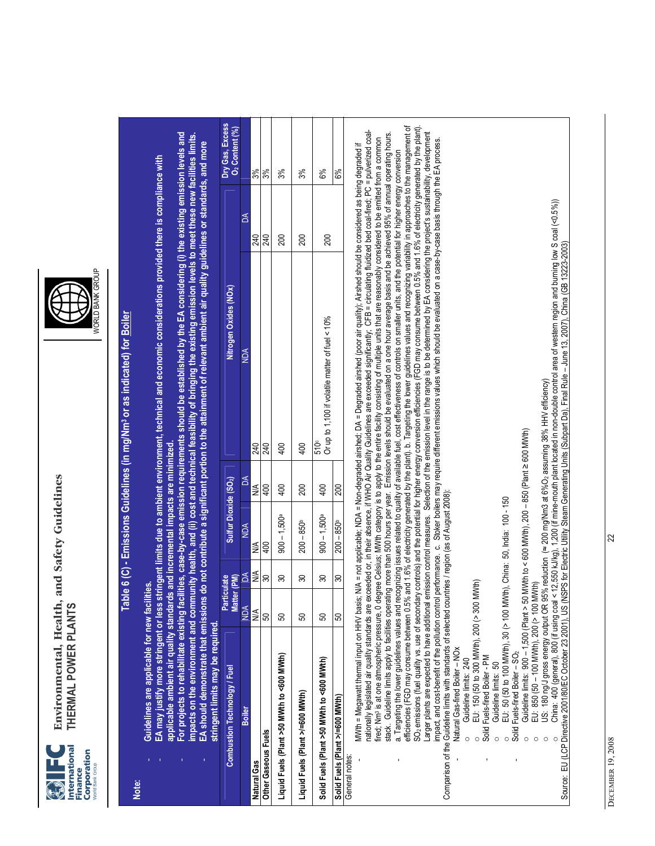

Environmental, Health, and Safety Guidelines **Environmental, Health, and Safety Guidelines** THERMAL POWER PLANTS **THERMAL POWER PLANTS**



# Table 6 (C) - Emissions Guidelines (in mg/Nm<sup>3</sup> or as indicated) for <u>Boiler</u> **Table 6 (C) - Emissions Guidelines (in mg/Nm3 or as indicated) for Boiler**

 **Guidelines are applicable for new facilities.**  Guidelines are applicable for new facilities.

**Note:** 

- EA may justify more stringent or less stringent limits due to ambient environment, technical and economic considerations provided there is compliance with **EA may justify more stringent or less stringent limits due to ambient environment, technical and economic considerations provided there is compliance with applicable ambient air quality standards and incremental impacts are minimized.**  applicable ambient air quality standards and incremental impacts are minimized
- **For projects to rehabilitate existing facilities, case-by-case emission requirements should be established by the EA considering (i) the existing emission levels and**  For projects to rehabilitate existing facilities, case-by-case emission requirements should be established by the EA considering (i) the existing emission levels and
	- **impacts on the environment and community health, and (ii) cost and technical feasibility of bringing the existing emission levels to meet these new facilities limits.**  impacts on the environment and community health, and (ii) cost and technical feasibility of bringing the existing emission levels to meet these new facilities limits. EA should demonstrate that emissions do not contribute a significant portion to the attainment of relevant ambient air quality guidelines or standards, and more **EA should demonstrate that emissions do not contribute a significant portion to the attainment of relevant ambient air quality guidelines or standards, and more**

| stringent limits may be required.          |                            |     |                                   |                |                                                                        |     |                                               |
|--------------------------------------------|----------------------------|-----|-----------------------------------|----------------|------------------------------------------------------------------------|-----|-----------------------------------------------|
| Combustion Technology / Fuel               | Particulate<br>Matter (PM) |     | Sulfur Dioxide (SO <sub>2</sub> ) |                | Nitrogen Oxides (NOx)                                                  |     | Dry Gas, Excess<br>O <sub>2</sub> Content (%) |
| <b>Boiler</b>                              |                            | ð   | <b>AGN</b>                        | ð              | NOW                                                                    | ð   |                                               |
| Natural Gas                                | ≸                          | ≸   | ≸                                 | ⋚              | 240                                                                    | 240 | 3%                                            |
| Other Gaseous Fuels                        | ន                          | Z   | 400                               | 400            | 240                                                                    | 240 | ೫                                             |
| Liquid Fuels (Plant >50 MWth to <600 MWth) | 8                          | వ్ల | $900 - 1,500$ <sup>a</sup>        | $rac{40}{5}$   | $rac{400}{2}$                                                          | 200 | 3%                                            |
| Liquid Fuels (Plant >/=600 MWth)           | 8                          | వి  | $200 - 850$                       | 200            | 400                                                                    | 200 | ૹ૾                                            |
| Solid Fuels (Plant >50 MWth to <600 MWth)  | 8                          | వ్ల | $900 - 1,500$ <sup>a</sup>        | $rac{400}{20}$ | Or up to 1,100 if volatile matter of fuel < $10\%$<br>510 <sub>c</sub> | 200 | 8%                                            |
| Solid Fuels (Plant >/=600 MWth)            | ទ                          | R,  | $200 - 850b$                      | 200            |                                                                        |     | 6%                                            |
| Conoral potos:                             |                            |     |                                   |                |                                                                        |     |                                               |

General notes: Jeneral notes:

SO2 emissions (fuel quality vs. use of secondary controls) and the potential for higher energy conversion efficiencies (FGD may consume between 0.5% and 1.6% of electricity generated by the plant). efficiencies (FGD may consume between 0.5% and 1.6% of electricity generated by the plant). b. Targeting the lower guidelines values and recognizing variability in approaches to the management of efficiencies (FGD may consume between 0.5% and 1.6% of electricity generated by the plant). b. Targeting the lower guidelines and recognizing variability in approaches to the management of SO<sub>2</sub> emissions (fuel quality vs. use of secondary controts) and the potential for higher energy conversion efficiencies (FGD may consume between 0.5% and 1.6% of electricity generated by the plant). nationally legislated air quality standards are exceeded or, in their absence, if WHO Air Quality Guidelines are exceeded significantly; CFB = circulating fluidized bed coal-fired; PC = pulverized coalstack. Guidelimits apply to facilities operating more than 500 hours per year. Emission levels should be evaluated on a hour average basis and be achieved 95% of annual operating hours. Larger plants are expected to have additional emission control measures. Selection of the emission level in the range is to be determined by EA considering the project's sustainability, development rationally legislated air quality standards are exceeded or, in their absence, if WHO Air Quidelines are exceeded significantly; CFB = circulating fluidized bed coal-fired; PC = pulverized coal stack. Guideline limits apply to facilities operating more than 500 hours per year. Emission levels should be evaluated on a one hour average basis and be achieved 95% of annual operating hours. Larger plants are expected to have additional emission control measures. Selection of the emission level in the range is to be determined by EA considering the project's sustainability, development rired; Nm<sup>3</sup> is at one atmospheric pressure, Odegree Celsius; MWth category is to apply to the entire facility consisting of multiple units that are reasonably considered to be emitted from a common fired; Nm3 is at one atmospheric pressure, 0 degree Celsius; MWth category is to apply to the entire facility consisting of multiple units that are reasonably considered to be emitted from a common impact, and cost-benefit of the pollution control performance. c. Stoker boilers may require different emissions values which should be evaluated on a case-by-case basis through the EA process. - MWth = Megawatt thermal input on HHV basis; N/A ≒ not applicable; NDA = Non-degraded airshed (airshed airshed airshed should be considered as being degraded if WWth = Megawatt thermal input on HHV basis; N/A = not applicable; NDA = Non-degraded airshed; DA = Degraded airshed (poor air quality); Airshed should be considered as being degraded if a. Targeting the lower guidelines values and recognizing issues related to quality of available fuel, cost effectiveness of controls on smaller units, and the potential for higher energy conversion a. Targeting the lower guidelines values and recognizing issues related to quality of available fuel, cost effectiveness of controls on smaller units, and the potential for higher energy conversion

impact, and cost-benefit of the pollution control performance. c. Stoker boilers may require different emissions values which should be evaluated on a case-by-case basis through the EA process.

- Comparison of the Guideline limits with standards of selected countries / region (as of August 2008): Comparison of the Guideline limits with standards of selected countries / region (as of August 2008): Natural Gas-fired Boiler – NOx Natural Gas-fired Boiler - NOx
	- Guideline limits: 240 Guideline limits: 240 o
- $\circ$   $=$  EU: 150 (50 to 300 MWth), 200 (> 300 MWth) EU: 150 (50 to 300 MWth), 200 (> 300 MWth) o
	- Solid Fuels-fired Boiler PM Solid Fuels-fired Boiler - PM
		- Guideline limits: 50 Guideline limits: 50 o
- 
- EU: 50 (50 to 100 MWth), 30 (> 100 MWth), China: 50, India: 100 150 EU: 50 (50 to 100 MWth), 30 (> 100 MWth), China: 50, India: 100 - 150 o
- Solid Fuels-fired Boiler SO<sub>2</sub> Solid Fuels-fired Boiler – SO2
- Guideline limits: 900 1,500 (Plant > 50 MWth to < 600 MWth), 200 850 (Plant ≥ 600 MWth) Guideline limits: 900 - 1,500 (Plant > 50 MWth to < 600 MWth), 200 - 850 (Plant ≥ 600 MWth) o
	- $\circ$   $\qquad \qquad \text{EU: } 850 \; (50 100 \; \text{MWth})$ , 200 $\; ( > 100 \; \text{MWth})$ EU: 850 (50 – 100 MWth), 200 (> 100 MWth) o
- US: 180 ng/J gross energy output OR 95% reduction (≈ 200 mg/Nm3 at 6%O2 assuming 38% HHV efficiency) US: 180 ng/J gross energy output OR 95% reduction (= 200 mg/Nm3 at 6%O<sub>2</sub> assuming 38% HHV efficiency) o
- China: 400 (general), 800 (if using coal < 12,550 kJ/kg), 1,200 (if mine-mouth plant located in non-double control area of western region and burning low S coal (<0.5%)) China: 400 (general), 800 (if using coal < 12,550 kJ/kg), 1,200 (if mine-mouth plant located in non-double control area of western region and burning low S coal (<0.5%)) o

Source: EU (LCP Directive 2001/80/EC October 23 2001), US (NSPS for Electric Utility Steam Generating Units (Subpart Da), Final Rule – June 13, 2007), China (GB 13223-2003) Source: EU (LCP Directive 2001/80/EC October 23 2001), US (NSPS for Electric Utility Steam Generating Units (Subpart Da), Final Rule - June 13, 2007), China (GB 13223-2003)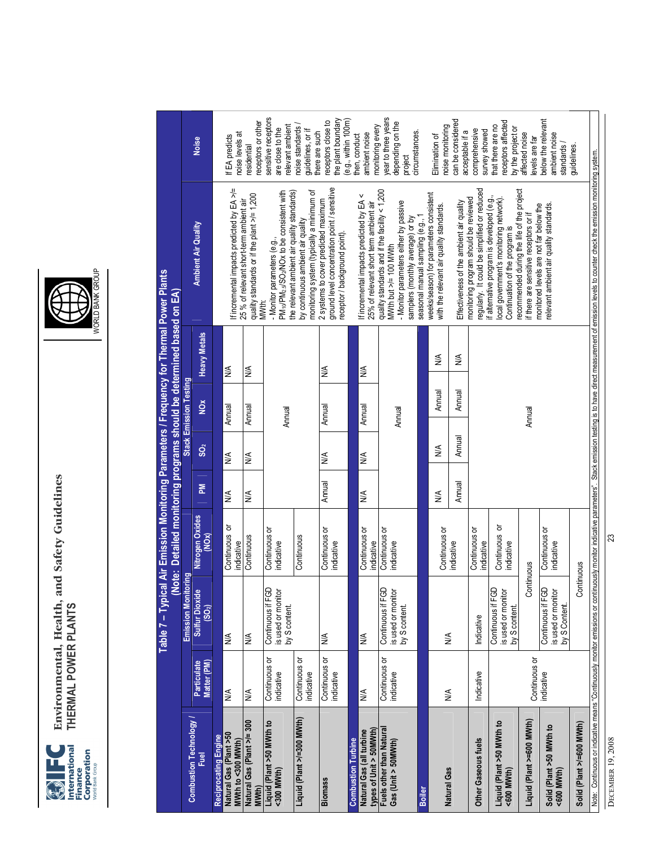

**Environmental, Health, and Safety Guidelines<br>THERMAL POWER PLANTS Environmental, Health, and Safety Guidelines THERMAL POWER PLANTS**



|                                                     |                             | Table 7 - Typical Air Emission Monitoring Parameters / Frequency for Thermal Power Plants | lote: Detailed monitoring programs should be determined based on EA) |               |               |                               |                     |                                                                                                                                                                                                                                |                                                                      |
|-----------------------------------------------------|-----------------------------|-------------------------------------------------------------------------------------------|----------------------------------------------------------------------|---------------|---------------|-------------------------------|---------------------|--------------------------------------------------------------------------------------------------------------------------------------------------------------------------------------------------------------------------------|----------------------------------------------------------------------|
|                                                     |                             | <b>Emission Monitoring</b>                                                                |                                                                      |               |               | <b>Stack Emission Testing</b> |                     |                                                                                                                                                                                                                                |                                                                      |
| <b>Combustion Technology</b><br>Fuel                | Particulate<br>Matter (PM)  | Sulfur Dioxide<br>(SO <sub>2</sub> )                                                      | Nitrogen Oxides<br>(NOx)                                             | 론             | ŜÔ,           | $\check{9}$                   | <b>Heavy Metals</b> | Ambient Air Quality                                                                                                                                                                                                            | <b>Noise</b>                                                         |
| Reciprocating Engine                                |                             |                                                                                           |                                                                      |               |               |                               |                     |                                                                                                                                                                                                                                |                                                                      |
| Natural Gas (Plant >50<br>MWth to <300 MWth)        | N/A                         | <b>N/A</b>                                                                                | Continuous or<br>indicative                                          | $\frac{4}{2}$ | $\frac{4}{2}$ | Annual                        | $\frac{4}{2}$       | If incremental impacts predicted by EA >/=                                                                                                                                                                                     | noise levels at<br>If EA predicts                                    |
| Natural Gas (Plant >/= 300<br>MWth)                 | $\frac{4}{2}$               | $\frac{4}{2}$                                                                             | Continuous                                                           | ≸             | ≸             | Annual                        | ≸                   | quality standards or if the plant >/= 1,200<br>25 % of relevant short-term ambient air<br>MWth:                                                                                                                                | eceptors or other<br>residential                                     |
| Liquid (Plant >50 MWth to<br><300 MWth)             | Continuous or<br>indicative | Continuous if FGD<br>is used or monitor<br>by S content.                                  | Continuous or<br>indicative                                          |               |               | Annual                        |                     | PM <sub>10</sub> /PM <sub>2.5</sub> /SO <sub>2</sub> /NOx to be consistent with<br>the relevant ambient air quality standards)<br>- Monitor parameters (e.g.,                                                                  | sensitive receptors<br>elevant ambient<br>are close to the           |
| Liquid (Plant >/=300 MWth)                          | Continuous or<br>indicative |                                                                                           | Continuous                                                           |               |               |                               |                     | monitoring system (typically a minimum of<br>by continuous ambient air quality                                                                                                                                                 | noise standards<br>guidelines, or if<br>there are such               |
| <b>Biomass</b>                                      | Continuous or<br>indicative | ≸                                                                                         | Continuous or<br>indicative                                          | Annual        | ⋚             | Annual                        | ≸                   | ground level concentration point / sensitive<br>2 systems to cover predicted maximum<br>receptor / background point)                                                                                                           | the plant boundary<br>$(e.g.,$ within $100m)$<br>eceptors close to   |
| <b>Combustion Turbine</b>                           |                             |                                                                                           |                                                                      |               |               |                               |                     |                                                                                                                                                                                                                                | then, conduct                                                        |
| types of Unit > 50MWth)<br>Natural Gas (all turbine | ≸                           | ≸                                                                                         | Continuous or<br>indicative                                          | ≸             | ≸             | Annual                        | ≸                   | v<br>If incremental impacts predicted by EA<br>25% of relevant short term ambient air                                                                                                                                          | monitoring every<br>ambient noise                                    |
| Fuels other than Natural<br>Gas (Unit > 50MWth)     | Continuous or<br>indicative | Continuous if FGD<br>is used or monitor<br>by S content.                                  | Continuous or<br>indicative                                          |               |               | Annual                        |                     | quality standards and if the facility < 1,200<br>- Monitor parameters either by passive<br>samplers (monthly average) or by<br>MWth but >/= 100 MWth                                                                           | year to three years<br>depending on the<br>circumstances.<br>project |
| <b>Boiler</b>                                       |                             |                                                                                           |                                                                      |               |               |                               |                     | seasonal manual sampling (e.g., 1                                                                                                                                                                                              |                                                                      |
| Natural Gas                                         | $\frac{4}{2}$               | $\frac{4}{2}$                                                                             | Continuous or                                                        | ₹             | ≸             | Annual                        | $\frac{4}{2}$       | weeks/season) for parameters consistent<br>with the relevant air quality standards.                                                                                                                                            | noise monitoring<br>Elimination of                                   |
|                                                     |                             |                                                                                           | indicative                                                           | Annual        | Annual        | Annual                        | $\frac{4}{2}$       | Effectiveness of the ambient air quality                                                                                                                                                                                       | can be considered<br>acceptable if a                                 |
| Other Gaseous fuels                                 | Indicative                  | Indicative                                                                                | Continuous or<br>indicative                                          |               |               |                               |                     | regularly. It could be simplified or reduced<br>monitoring program should be reviewed                                                                                                                                          | comprehensive<br>survey showed                                       |
| Liquid (Plant >50 MWth to<br><600 MWth)             |                             | Continuous if FGD<br>is used or monitor<br>by S content.                                  | Continuous or<br>indicative                                          |               |               |                               |                     | recommended during the life of the project<br>if alternative program is developed (e.g.,<br>local government's monitoring network).<br>Continuation of the program is                                                          | receptors affected<br>that there are no<br>by the project or         |
| Liquid (Plant >=600 MWth)                           | Continuous or<br>indicative | Continuous                                                                                |                                                                      |               |               | Annual                        |                     | monitored levels are not far below the<br>if there are sensitive receptors or it                                                                                                                                               | affected noise<br>levels are far                                     |
| Solid (Plant >50 MWth to<br><600 MWth)              |                             | Continuous if FGD<br>is used or monitor<br>by S Content.                                  | Continuous or<br>indicative                                          |               |               |                               |                     | elevant ambient air quality standards.                                                                                                                                                                                         | below the relevant<br>ambient noise<br>standards/                    |
| Solid (Plant >/=600 MWth)                           |                             | Continuous                                                                                |                                                                      |               |               |                               |                     |                                                                                                                                                                                                                                | guidelines.                                                          |
|                                                     |                             |                                                                                           |                                                                      |               |               |                               |                     | Note: Continuous or indicative means "Continuously monitor entisions or continuously monitor indicative parameters'. Stack emission testing is to have direct measurement of emission levels to counter check the emission mon |                                                                      |

DECEMBER 19,  $2008$ DECEMBER 19, 2008

23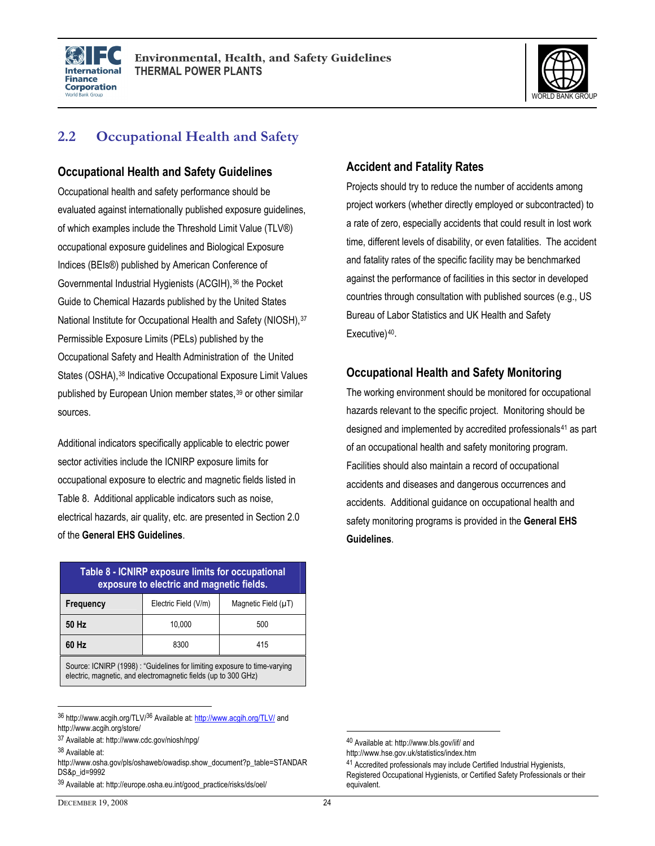<span id="page-23-0"></span>



# **2.2 Occupational Health and Safety**

# **Occupational Health and Safety Guidelines**

Occupational health and safety performance should be evaluated against internationally published exposure guidelines, of which examples include the Threshold Limit Value (TLV®) occupational exposure guidelines and Biological Exposure Indices (BEIs®) published by American Conference of Governmental Industrial Hygienists (ACGIH), [36](#page-23-0) the Pocket Guide to Chemical Hazards published by the United States National Institute for Occupational Health and Safety (NIOSH),[3](#page-23-0)7 Permissible Exposure Limits (PELs) published by the Occupational Safety and Health Administration of the United States (OSHA),[38](#page-23-0) Indicative Occupational Exposure Limit Values published by European Union member states, [39](#page-23-0) or other similar sources.

Additional indicators specifically applicable to electric power sector activities include the ICNIRP exposure limits for occupational exposure to electric and magnetic fields listed in Table 8. Additional applicable indicators such as noise, electrical hazards, air quality, etc. are presented in Section 2.0 of the **General EHS Guidelines**.

|                                                                                                                                             | Table 8 - ICNIRP exposure limits for occupational<br>exposure to electric and magnetic fields. |                     |  |  |
|---------------------------------------------------------------------------------------------------------------------------------------------|------------------------------------------------------------------------------------------------|---------------------|--|--|
| Frequency                                                                                                                                   | Electric Field (V/m)                                                                           | Magnetic Field (µT) |  |  |
| 50 Hz                                                                                                                                       | 10.000                                                                                         | 500                 |  |  |
| 60 Hz                                                                                                                                       | 8300<br>415                                                                                    |                     |  |  |
| Source: ICNIRP (1998) : "Guidelines for limiting exposure to time-varying<br>electric, magnetic, and electromagnetic fields (up to 300 GHz) |                                                                                                |                     |  |  |

<sup>36</sup> http://www.acgih.org/TLV/36 Available at: http://www.acgih.org/TLV/ and http://www.acgih.org/store/

l

# **Accident and Fatality Rates**

Projects should try to reduce the number of accidents among project workers (whether directly employed or subcontracted) to a rate of zero, especially accidents that could result in lost work time, different levels of disability, or even fatalities. The accident and fatality rates of the specific facility may be benchmarked against the performance of facilities in this sector in developed countries through consultation with published sources (e.g., US Bureau of Labor Statistics and UK Health and Safety Executive)<sup>[40](#page-23-0)</sup>.

# **Occupational Health and Safety Monitoring**

The working environment should be monitored for occupational hazards relevant to the specific project. Monitoring should be designed and implemented by accredited professionals<sup>[41](#page-23-0)</sup> as part of an occupational health and safety monitoring program. Facilities should also maintain a record of occupational accidents and diseases and dangerous occurrences and accidents. Additional guidance on occupational health and safety monitoring programs is provided in the **General EHS Guidelines**.

http://www.hse.gov.uk/statistics/index.htm

-

<sup>37</sup> Available at: http://www.cdc.gov/niosh/npg/

<sup>38</sup> Available at:

http://www.osha.gov/pls/oshaweb/owadisp.show\_document?p\_table=STANDAR DS&p\_id=9992

<sup>39</sup> Available at: http://europe.osha.eu.int/good\_practice/risks/ds/oel/

<sup>40</sup> Available at: http://www.bls.gov/iif/ and

<sup>41</sup> Accredited professionals may include Certified Industrial Hygienists, Registered Occupational Hygienists, or Certified Safety Professionals or their equivalent.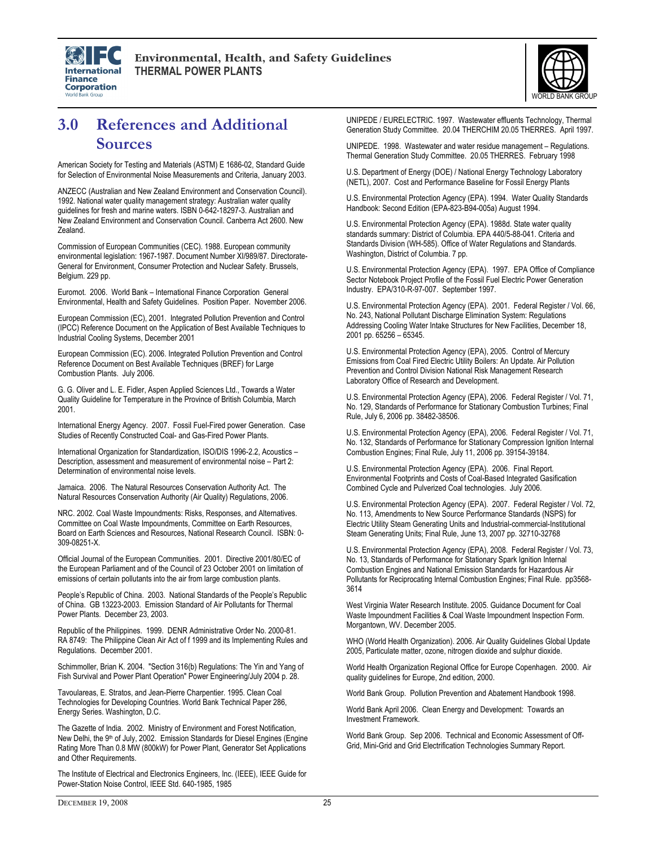



# **3.0 References and Additional Sources**

American Society for Testing and Materials (ASTM) E 1686-02, Standard Guide for Selection of Environmental Noise Measurements and Criteria, January 2003.

ANZECC (Australian and New Zealand Environment and Conservation Council). 1992. National water quality management strategy: Australian water quality guidelines for fresh and marine waters. ISBN 0-642-18297-3. Australian and New Zealand Environment and Conservation Council. Canberra Act 2600. New Zealand.

Commission of European Communities (CEC). 1988. European community environmental legislation: 1967-1987. Document Number XI/989/87. Directorate-General for Environment, Consumer Protection and Nuclear Safety. Brussels, Belgium. 229 pp.

Euromot. 2006. World Bank – International Finance Corporation General Environmental, Health and Safety Guidelines. Position Paper. November 2006.

European Commission (EC), 2001. Integrated Pollution Prevention and Control (IPCC) Reference Document on the Application of Best Available Techniques to Industrial Cooling Systems, December 2001

European Commission (EC). 2006. Integrated Pollution Prevention and Control Reference Document on Best Available Techniques (BREF) for Large Combustion Plants. July 2006.

G. G. Oliver and L. E. Fidler, Aspen Applied Sciences Ltd., Towards a Water Quality Guideline for Temperature in the Province of British Columbia, March 2001.

International Energy Agency. 2007. Fossil Fuel-Fired power Generation. Case Studies of Recently Constructed Coal- and Gas-Fired Power Plants.

International Organization for Standardization, ISO/DIS 1996-2.2, Acoustics – Description, assessment and measurement of environmental noise – Part 2: Determination of environmental noise levels.

Jamaica. 2006. The Natural Resources Conservation Authority Act. The Natural Resources Conservation Authority (Air Quality) Regulations, 2006.

NRC. 2002. Coal Waste Impoundments: Risks, Responses, and Alternatives. Committee on Coal Waste Impoundments, Committee on Earth Resources, Board on Earth Sciences and Resources, National Research Council. ISBN: 0- 309-08251-X.

Official Journal of the European Communities. 2001. Directive 2001/80/EC of the European Parliament and of the Council of 23 October 2001 on limitation of emissions of certain pollutants into the air from large combustion plants.

People's Republic of China. 2003. National Standards of the People's Republic of China. GB 13223-2003. Emission Standard of Air Pollutants for Thermal Power Plants. December 23, 2003.

Republic of the Philippines. 1999. DENR Administrative Order No. 2000-81. RA 8749: The Philippine Clean Air Act of f 1999 and its Implementing Rules and Regulations. December 2001.

Schimmoller, Brian K. 2004. "Section 316(b) Regulations: The Yin and Yang of Fish Survival and Power Plant Operation" Power Engineering/July 2004 p. 28.

Tavoulareas, E. Stratos, and Jean-Pierre Charpentier. 1995. Clean Coal Technologies for Developing Countries. World Bank Technical Paper 286, Energy Series. Washington, D.C.

The Gazette of India. 2002. Ministry of Environment and Forest Notification, New Delhi, the 9<sup>th</sup> of July, 2002. Emission Standards for Diesel Engines (Engine Rating More Than 0.8 MW (800kW) for Power Plant, Generator Set Applications and Other Requirements.

The Institute of Electrical and Electronics Engineers, Inc. (IEEE), IEEE Guide for Power-Station Noise Control, IEEE Std. 640-1985, 1985

UNIPEDE / EURELECTRIC. 1997. Wastewater effluents Technology, Thermal Generation Study Committee. 20.04 THERCHIM 20.05 THERRES. April 1997.

UNIPEDE. 1998. Wastewater and water residue management – Regulations. Thermal Generation Study Committee. 20.05 THERRES. February 1998

U.S. Department of Energy (DOE) / National Energy Technology Laboratory (NETL), 2007. Cost and Performance Baseline for Fossil Energy Plants

U.S. Environmental Protection Agency (EPA). 1994. Water Quality Standards Handbook: Second Edition (EPA-823-B94-005a) August 1994.

U.S. Environmental Protection Agency (EPA). 1988d. State water quality standards summary: District of Columbia. EPA 440/5-88-041. Criteria and Standards Division (WH-585). Office of Water Regulations and Standards. Washington, District of Columbia. 7 pp.

U.S. Environmental Protection Agency (EPA). 1997. EPA Office of Compliance Sector Notebook Project Profile of the Fossil Fuel Electric Power Generation Industry. EPA/310-R-97-007. September 1997.

U.S. Environmental Protection Agency (EPA). 2001. Federal Register / Vol. 66, No. 243, National Pollutant Discharge Elimination System: Regulations Addressing Cooling Water Intake Structures for New Facilities, December 18, 2001 pp. 65256 – 65345.

U.S. Environmental Protection Agency (EPA), 2005. Control of Mercury Emissions from Coal Fired Electric Utility Boilers: An Update. Air Pollution Prevention and Control Division National Risk Management Research Laboratory Office of Research and Development.

U.S. Environmental Protection Agency (EPA), 2006. Federal Register / Vol. 71, No. 129, Standards of Performance for Stationary Combustion Turbines; Final Rule, July 6, 2006 pp. 38482-38506.

U.S. Environmental Protection Agency (EPA), 2006. Federal Register / Vol. 71, No. 132, Standards of Performance for Stationary Compression Ignition Internal Combustion Engines; Final Rule, July 11, 2006 pp. 39154-39184.

U.S. Environmental Protection Agency (EPA). 2006. Final Report. Environmental Footprints and Costs of Coal-Based Integrated Gasification Combined Cycle and Pulverized Coal technologies. July 2006.

U.S. Environmental Protection Agency (EPA). 2007. Federal Register / Vol. 72, No. 113, Amendments to New Source Performance Standards (NSPS) for Electric Utility Steam Generating Units and Industrial-commercial-Institutional Steam Generating Units; Final Rule, June 13, 2007 pp. 32710-32768

U.S. Environmental Protection Agency (EPA), 2008. Federal Register / Vol. 73, No. 13, Standards of Performance for Stationary Spark Ignition Internal Combustion Engines and National Emission Standards for Hazardous Air Pollutants for Reciprocating Internal Combustion Engines; Final Rule. pp3568- 3614

West Virginia Water Research Institute. 2005. Guidance Document for Coal Waste Impoundment Facilities & Coal Waste Impoundment Inspection Form. Morgantown, WV. December 2005.

WHO (World Health Organization). 2006. Air Quality Guidelines Global Update 2005, Particulate matter, ozone, nitrogen dioxide and sulphur dioxide.

World Health Organization Regional Office for Europe Copenhagen. 2000. Air quality guidelines for Europe, 2nd edition, 2000.

World Bank Group. Pollution Prevention and Abatement Handbook 1998.

World Bank April 2006. Clean Energy and Development: Towards an Investment Framework.

World Bank Group. Sep 2006. Technical and Economic Assessment of Off-Grid, Mini-Grid and Grid Electrification Technologies Summary Report.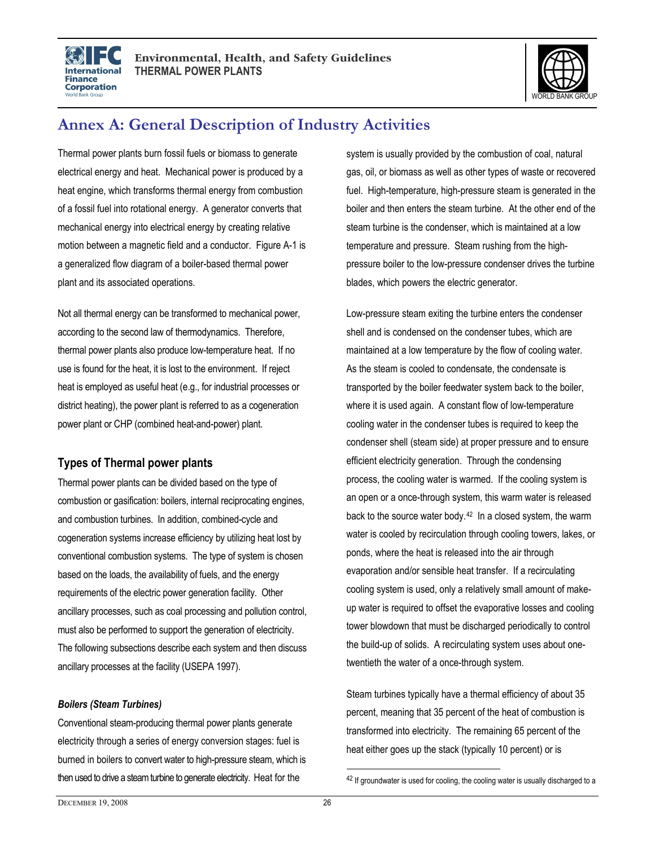<span id="page-25-0"></span>



# **Annex A: General Description of Industry Activities**

Thermal power plants burn fossil fuels or biomass to generate electrical energy and heat. Mechanical power is produced by a heat engine, which transforms thermal energy from combustion of a fossil fuel into rotational energy. A generator converts that mechanical energy into electrical energy by creating relative motion between a magnetic field and a conductor. Figure A-1 is a generalized flow diagram of a boiler-based thermal power plant and its associated operations.

Not all thermal energy can be transformed to mechanical power, according to the second law of thermodynamics. Therefore, thermal power plants also produce low-temperature heat. If no use is found for the heat, it is lost to the environment. If reject heat is employed as useful heat (e.g., for industrial processes or district heating), the power plant is referred to as a cogeneration power plant or CHP (combined heat-and-power) plant.

# **Types of Thermal power plants**

Thermal power plants can be divided based on the type of combustion or gasification: boilers, internal reciprocating engines, and combustion turbines. In addition, combined-cycle and cogeneration systems increase efficiency by utilizing heat lost by conventional combustion systems. The type of system is chosen based on the loads, the availability of fuels, and the energy requirements of the electric power generation facility. Other ancillary processes, such as coal processing and pollution control, must also be performed to support the generation of electricity. The following subsections describe each system and then discuss ancillary processes at the facility (USEPA 1997).

# *Boilers (Steam Turbines)*

Conventional steam-producing thermal power plants generate electricity through a series of energy conversion stages: fuel is burned in boilers to convert water to high-pressure steam, which is then used to drive a steam turbine to generate electricity. Heat for the

system is usually provided by the combustion of coal, natural gas, oil, or biomass as well as other types of waste or recovered fuel. High-temperature, high-pressure steam is generated in the boiler and then enters the steam turbine. At the other end of the steam turbine is the condenser, which is maintained at a low temperature and pressure. Steam rushing from the highpressure boiler to the low-pressure condenser drives the turbine blades, which powers the electric generator.

Low-pressure steam exiting the turbine enters the condenser shell and is condensed on the condenser tubes, which are maintained at a low temperature by the flow of cooling water. As the steam is cooled to condensate, the condensate is transported by the boiler feedwater system back to the boiler, where it is used again. A constant flow of low-temperature cooling water in the condenser tubes is required to keep the condenser shell (steam side) at proper pressure and to ensure efficient electricity generation. Through the condensing process, the cooling water is warmed. If the cooling system is an open or a once-through system, this warm water is released back to the source water body.<sup>[4](#page-25-0)2</sup> In a closed system, the warm water is cooled by recirculation through cooling towers, lakes, or ponds, where the heat is released into the air through evaporation and/or sensible heat transfer. If a recirculating cooling system is used, only a relatively small amount of makeup water is required to offset the evaporative losses and cooling tower blowdown that must be discharged periodically to control the build-up of solids. A recirculating system uses about onetwentieth the water of a once-through system.

Steam turbines typically have a thermal efficiency of about 35 percent, meaning that 35 percent of the heat of combustion is transformed into electricity. The remaining 65 percent of the heat either goes up the stack (typically 10 percent) or is

l

<sup>42</sup> If groundwater is used for cooling, the cooling water is usually discharged to a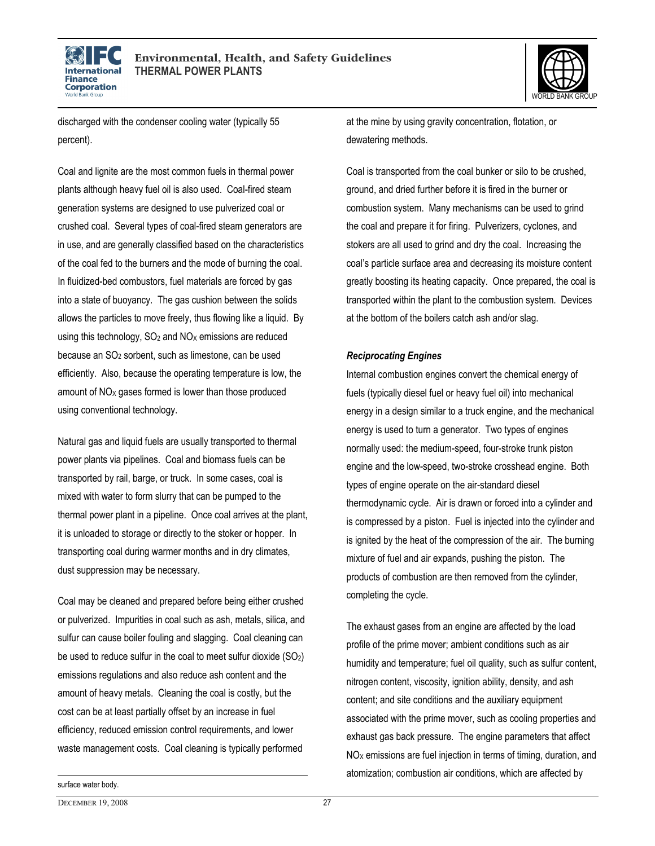



discharged with the condenser cooling water (typically 55 percent).

Coal and lignite are the most common fuels in thermal power plants although heavy fuel oil is also used. Coal-fired steam generation systems are designed to use pulverized coal or crushed coal. Several types of coal-fired steam generators are in use, and are generally classified based on the characteristics of the coal fed to the burners and the mode of burning the coal. In fluidized-bed combustors, fuel materials are forced by gas into a state of buoyancy. The gas cushion between the solids allows the particles to move freely, thus flowing like a liquid. By using this technology,  $SO<sub>2</sub>$  and  $NO<sub>X</sub>$  emissions are reduced because an SO2 sorbent, such as limestone, can be used efficiently. Also, because the operating temperature is low, the amount of  $NO<sub>x</sub>$  gases formed is lower than those produced using conventional technology.

Natural gas and liquid fuels are usually transported to thermal power plants via pipelines. Coal and biomass fuels can be transported by rail, barge, or truck. In some cases, coal is mixed with water to form slurry that can be pumped to the thermal power plant in a pipeline. Once coal arrives at the plant, it is unloaded to storage or directly to the stoker or hopper. In transporting coal during warmer months and in dry climates, dust suppression may be necessary.

Coal may be cleaned and prepared before being either crushed or pulverized. Impurities in coal such as ash, metals, silica, and sulfur can cause boiler fouling and slagging. Coal cleaning can be used to reduce sulfur in the coal to meet sulfur dioxide  $(SO<sub>2</sub>)$ emissions regulations and also reduce ash content and the amount of heavy metals. Cleaning the coal is costly, but the cost can be at least partially offset by an increase in fuel efficiency, reduced emission control requirements, and lower waste management costs. Coal cleaning is typically performed

at the mine by using gravity concentration, flotation, or dewatering methods.

Coal is transported from the coal bunker or silo to be crushed, ground, and dried further before it is fired in the burner or combustion system. Many mechanisms can be used to grind the coal and prepare it for firing. Pulverizers, cyclones, and stokers are all used to grind and dry the coal. Increasing the coal's particle surface area and decreasing its moisture content greatly boosting its heating capacity. Once prepared, the coal is transported within the plant to the combustion system. Devices at the bottom of the boilers catch ash and/or slag.

#### *Reciprocating Engines*

Internal combustion engines convert the chemical energy of fuels (typically diesel fuel or heavy fuel oil) into mechanical energy in a design similar to a truck engine, and the mechanical energy is used to turn a generator. Two types of engines normally used: the medium-speed, four-stroke trunk piston engine and the low-speed, two-stroke crosshead engine. Both types of engine operate on the air-standard diesel thermodynamic cycle. Air is drawn or forced into a cylinder and is compressed by a piston. Fuel is injected into the cylinder and is ignited by the heat of the compression of the air. The burning mixture of fuel and air expands, pushing the piston. The products of combustion are then removed from the cylinder, completing the cycle.

The exhaust gases from an engine are affected by the load profile of the prime mover; ambient conditions such as air humidity and temperature; fuel oil quality, such as sulfur content, nitrogen content, viscosity, ignition ability, density, and ash content; and site conditions and the auxiliary equipment associated with the prime mover, such as cooling properties and exhaust gas back pressure. The engine parameters that affect  $NO<sub>X</sub>$  emissions are fuel injection in terms of timing, duration, and atomization; combustion air conditions, which are affected by

-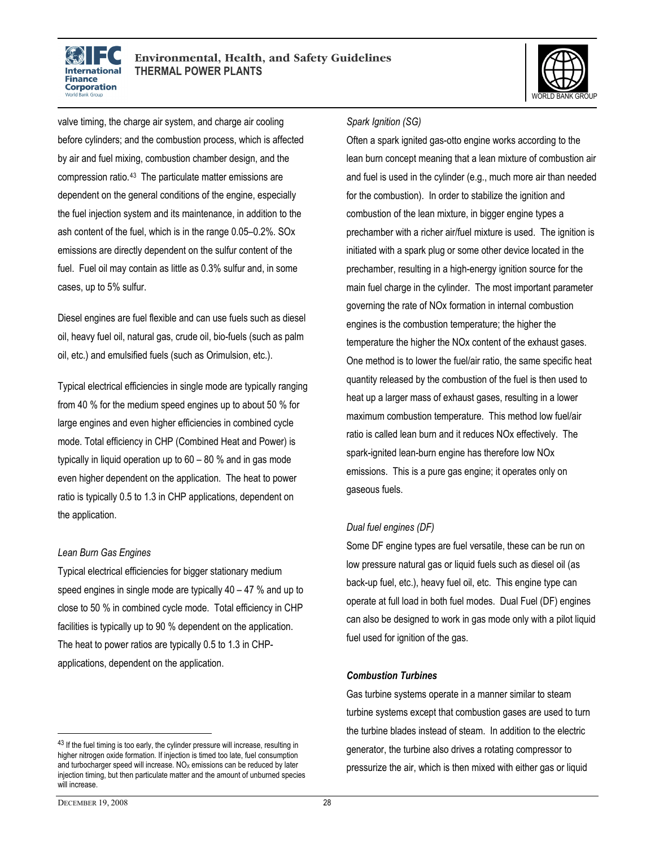<span id="page-27-0"></span>



valve timing, the charge air system, and charge air cooling before cylinders; and the combustion process, which is affected by air and fuel mixing, combustion chamber design, and the compression ratio.[4](#page-27-0)3 The particulate matter emissions are dependent on the general conditions of the engine, especially the fuel injection system and its maintenance, in addition to the ash content of the fuel, which is in the range 0.05–0.2%. SOx emissions are directly dependent on the sulfur content of the fuel. Fuel oil may contain as little as 0.3% sulfur and, in some cases, up to 5% sulfur.

Diesel engines are fuel flexible and can use fuels such as diesel oil, heavy fuel oil, natural gas, crude oil, bio-fuels (such as palm oil, etc.) and emulsified fuels (such as Orimulsion, etc.).

Typical electrical efficiencies in single mode are typically ranging from 40 % for the medium speed engines up to about 50 % for large engines and even higher efficiencies in combined cycle mode. Total efficiency in CHP (Combined Heat and Power) is typically in liquid operation up to 60 – 80 % and in gas mode even higher dependent on the application. The heat to power ratio is typically 0.5 to 1.3 in CHP applications, dependent on the application.

#### *Lean Burn Gas Engines*

Typical electrical efficiencies for bigger stationary medium speed engines in single mode are typically 40 – 47 % and up to close to 50 % in combined cycle mode. Total efficiency in CHP facilities is typically up to 90 % dependent on the application. The heat to power ratios are typically 0.5 to 1.3 in CHPapplications, dependent on the application.

#### *Spark Ignition (SG)*

Often a spark ignited gas-otto engine works according to the lean burn concept meaning that a lean mixture of combustion air and fuel is used in the cylinder (e.g., much more air than needed for the combustion). In order to stabilize the ignition and combustion of the lean mixture, in bigger engine types a prechamber with a richer air/fuel mixture is used. The ignition is initiated with a spark plug or some other device located in the prechamber, resulting in a high-energy ignition source for the main fuel charge in the cylinder. The most important parameter governing the rate of NOx formation in internal combustion engines is the combustion temperature; the higher the temperature the higher the NOx content of the exhaust gases. One method is to lower the fuel/air ratio, the same specific heat quantity released by the combustion of the fuel is then used to heat up a larger mass of exhaust gases, resulting in a lower maximum combustion temperature. This method low fuel/air ratio is called lean burn and it reduces NOx effectively. The spark-ignited lean-burn engine has therefore low NOx emissions. This is a pure gas engine; it operates only on gaseous fuels.

# *Dual fuel engines (DF)*

Some DF engine types are fuel versatile, these can be run on low pressure natural gas or liquid fuels such as diesel oil (as back-up fuel, etc.), heavy fuel oil, etc. This engine type can operate at full load in both fuel modes. Dual Fuel (DF) engines can also be designed to work in gas mode only with a pilot liquid fuel used for ignition of the gas.

#### *Combustion Turbines*

Gas turbine systems operate in a manner similar to steam turbine systems except that combustion gases are used to turn the turbine blades instead of steam. In addition to the electric generator, the turbine also drives a rotating compressor to pressurize the air, which is then mixed with either gas or liquid

 $\overline{\phantom{a}}$ 

<sup>43</sup> If the fuel timing is too early, the cylinder pressure will increase, resulting in higher nitrogen oxide formation. If injection is timed too late, fuel consumption and turbocharger speed will increase.  $NO<sub>x</sub>$  emissions can be reduced by later injection timing, but then particulate matter and the amount of unburned species will increase.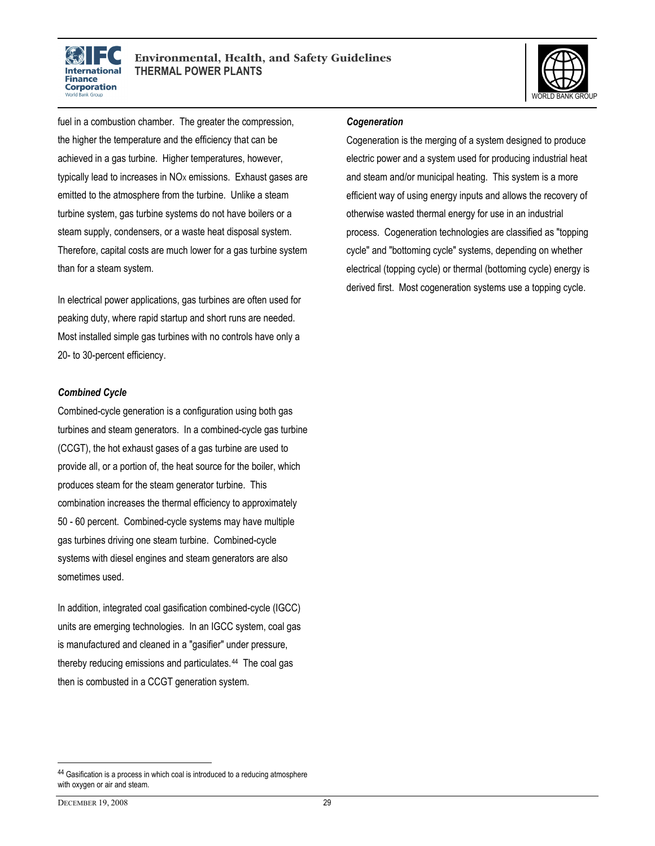<span id="page-28-0"></span>



fuel in a combustion chamber. The greater the compression, the higher the temperature and the efficiency that can be achieved in a gas turbine. Higher temperatures, however, typically lead to increases in  $NO<sub>x</sub>$  emissions. Exhaust gases are emitted to the atmosphere from the turbine. Unlike a steam turbine system, gas turbine systems do not have boilers or a steam supply, condensers, or a waste heat disposal system. Therefore, capital costs are much lower for a gas turbine system than for a steam system.

In electrical power applications, gas turbines are often used for peaking duty, where rapid startup and short runs are needed. Most installed simple gas turbines with no controls have only a 20- to 30-percent efficiency.

#### *Combined Cycle*

Combined-cycle generation is a configuration using both gas turbines and steam generators. In a combined-cycle gas turbine (CCGT), the hot exhaust gases of a gas turbine are used to provide all, or a portion of, the heat source for the boiler, which produces steam for the steam generator turbine. This combination increases the thermal efficiency to approximately 50 - 60 percent. Combined-cycle systems may have multiple gas turbines driving one steam turbine. Combined-cycle systems with diesel engines and steam generators are also sometimes used.

In addition, integrated coal gasification combined-cycle (IGCC) units are emerging technologies. In an IGCC system, coal gas is manufactured and cleaned in a "gasifier" under pressure, thereby reducing emissions and particulates.<sup>[44](#page-28-0)</sup> The coal gas then is combusted in a CCGT generation system.

#### *Cogeneration*

Cogeneration is the merging of a system designed to produce electric power and a system used for producing industrial heat and steam and/or municipal heating. This system is a more efficient way of using energy inputs and allows the recovery of otherwise wasted thermal energy for use in an industrial process. Cogeneration technologies are classified as "topping cycle" and "bottoming cycle" systems, depending on whether electrical (topping cycle) or thermal (bottoming cycle) energy is derived first. Most cogeneration systems use a topping cycle.

 $\overline{\phantom{a}}$ 

<sup>44</sup> Gasification is a process in which coal is introduced to a reducing atmosphere with oxygen or air and steam.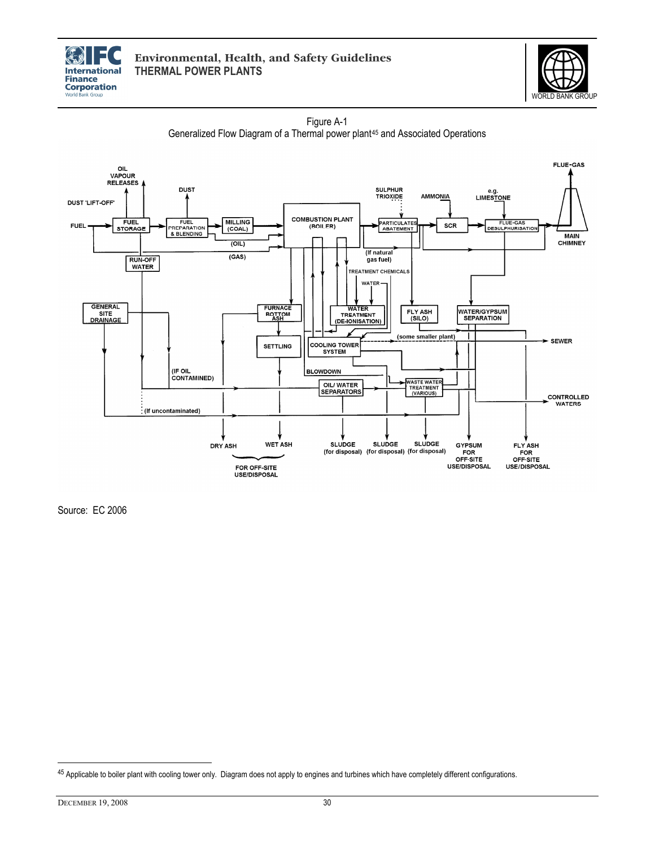<span id="page-29-0"></span>







Source: EC 2006

-

<sup>&</sup>lt;sup>45</sup> Applicable to boiler plant with cooling tower only. Diagram does not apply to engines and turbines which have completely different configurations.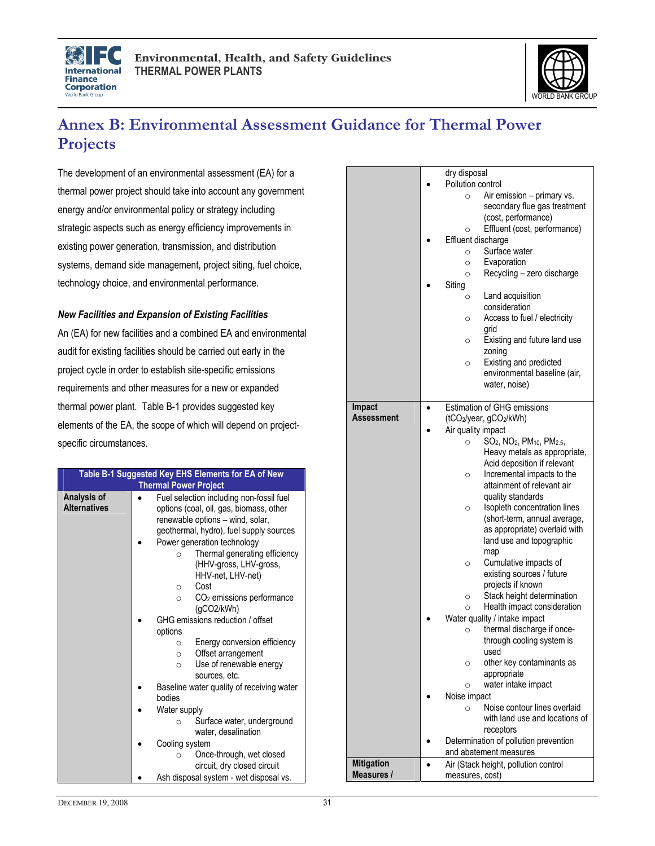



# **Annex B: Environmental Assessment Guidance for Thermal Power Projects**

The development of an environmental assessment (EA) for a thermal power project should take into account any government energy and/or environmental policy or strategy including strategic aspects such as energy efficiency improvements in existing power generation, transmission, and distribution systems, demand side management, project siting, fuel choice, technology choice, and environmental performance.

# *New Facilities and Expansion of Existing Facilities*

An (EA) for new facilities and a combined EA and environmental audit for existing facilities should be carried out early in the project cycle in order to establish site-specific emissions requirements and other measures for a new or expanded thermal power plant. Table B-1 provides suggested key elements of the EA, the scope of which will depend on projectspecific circumstances.

|                                    | Table B-1 Suggested Key EHS Elements for EA of New                                                                                  |
|------------------------------------|-------------------------------------------------------------------------------------------------------------------------------------|
|                                    | <b>Thermal Power Project</b>                                                                                                        |
| Analysis of<br><b>Alternatives</b> | Fuel selection including non-fossil fuel<br>options (coal, oil, gas, biomass, other<br>renewable options - wind, solar,             |
|                                    | geothermal, hydro), fuel supply sources                                                                                             |
|                                    | Power generation technology<br>Thermal generating efficiency<br>O<br>(HHV-gross, LHV-gross,<br>HHV-net, LHV-net)<br>Cost<br>$\circ$ |
|                                    | CO <sub>2</sub> emissions performance<br>$\circ$<br>(gCO2/kWh)                                                                      |
|                                    | GHG emissions reduction / offset                                                                                                    |
|                                    | options                                                                                                                             |
|                                    | Energy conversion efficiency<br>O                                                                                                   |
|                                    | Offset arrangement<br>$\circ$                                                                                                       |
|                                    | Use of renewable energy<br>$\Omega$<br>sources, etc.                                                                                |
|                                    | Baseline water quality of receiving water                                                                                           |
|                                    | bodies                                                                                                                              |
|                                    | Water supply                                                                                                                        |
|                                    | Surface water, underground<br>O<br>water, desalination                                                                              |
|                                    | Cooling system                                                                                                                      |
|                                    | Once-through, wet closed<br>O<br>circuit, dry closed circuit                                                                        |
|                                    | Ash disposal system - wet disposal vs.                                                                                              |

|           | dry disposal       |                                                                            |
|-----------|--------------------|----------------------------------------------------------------------------|
|           | Pollution control  |                                                                            |
|           | $\circ$            | Air emission – primary vs.                                                 |
|           |                    | secondary flue gas treatment                                               |
|           |                    | (cost, performance)                                                        |
|           | $\circ$            | Effluent (cost, performance)                                               |
|           | Effluent discharge |                                                                            |
|           | $\circ$            | Surface water                                                              |
|           | $\circ$            | Evaporation                                                                |
|           | $\circ$            | Recycling - zero discharge                                                 |
|           | Siting             |                                                                            |
|           | $\circ$            | Land acquisition                                                           |
|           |                    | consideration                                                              |
|           | $\circ$            | Access to fuel / electricity                                               |
|           |                    | grid                                                                       |
|           | O                  | Existing and future land use                                               |
|           |                    | zoning                                                                     |
|           | $\circ$            | Existing and predicted                                                     |
|           |                    | environmental baseline (air,                                               |
|           |                    | water, noise)                                                              |
|           |                    |                                                                            |
| ıpact     |                    | <b>Estimation of GHG emissions</b>                                         |
| ssessment |                    | (tCO2/year, gCO2/kWh)                                                      |
|           | Air quality impact |                                                                            |
|           | $\circ$            | SO <sub>2</sub> , NO <sub>2</sub> , PM <sub>10</sub> , PM <sub>2.5</sub> , |
|           |                    | Heavy metals as appropriate,                                               |
|           |                    | Acid deposition if relevant                                                |
|           |                    | Incremental impacts to the                                                 |
|           | $\circ$            | attainment of relevant air                                                 |
|           |                    |                                                                            |
|           |                    | quality standards                                                          |
|           | $\circ$            | Isopleth concentration lines                                               |
|           |                    | (short-term, annual average,                                               |
|           |                    | as appropriate) overlaid with                                              |
|           |                    | land use and topographic                                                   |
|           |                    | map                                                                        |
|           | $\circ$            | Cumulative impacts of                                                      |
|           |                    | existing sources / future<br>projects if known                             |
|           |                    | Stack height determination                                                 |
|           | $\circ$<br>$\circ$ | Health impact consideration                                                |
|           |                    | Water quality / intake impact                                              |
|           |                    | thermal discharge if once-                                                 |
|           | $\circ$            | through cooling system is                                                  |
|           |                    | used                                                                       |
|           |                    | other key contaminants as                                                  |
|           | $\circ$            |                                                                            |
|           |                    | appropriate<br>water intake impact                                         |
|           | O                  |                                                                            |
|           | Noise impact       |                                                                            |
|           | $\circ$            | Noise contour lines overlaid                                               |
|           |                    | with land use and locations of                                             |
|           |                    | receptors                                                                  |
|           |                    | Determination of pollution prevention                                      |
|           |                    | and abatement measures                                                     |
| itigation |                    | Air (Stack height, pollution control                                       |
| easures / | measures, cost)    |                                                                            |

**Mitigation Measures /** 

**Impact Assessment**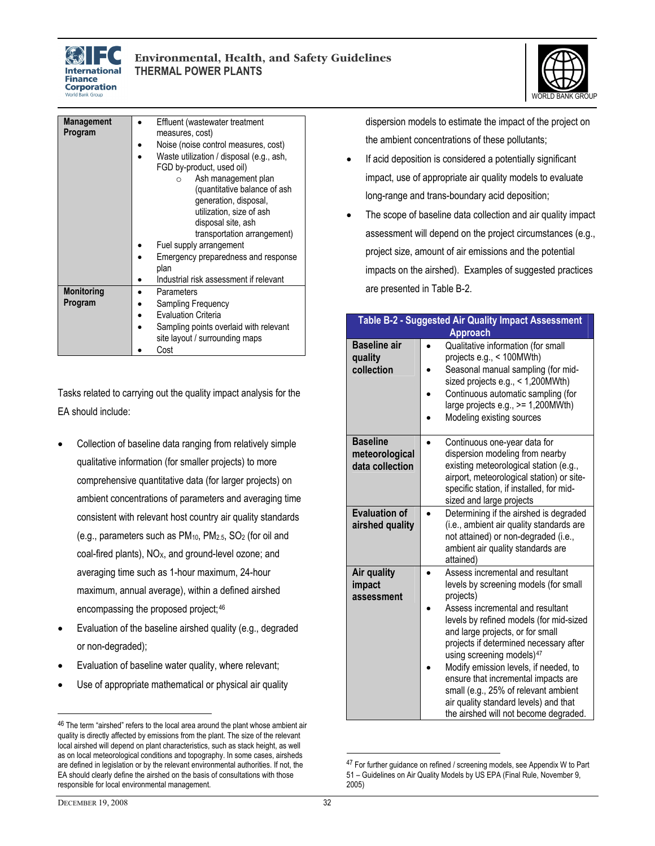<span id="page-31-0"></span>

# **Environmental, Health, and Safety Guidelines THERMAL POWER PLANTS**



| <b>Management</b><br>Program | Effluent (wastewater treatment<br>measures, cost)                                                                                                                                                                                                                              |
|------------------------------|--------------------------------------------------------------------------------------------------------------------------------------------------------------------------------------------------------------------------------------------------------------------------------|
|                              | Noise (noise control measures, cost)<br>Waste utilization / disposal (e.g., ash,<br>FGD by-product, used oil)<br>Ash management plan<br>(quantitative balance of ash<br>generation, disposal,<br>utilization, size of ash<br>disposal site, ash<br>transportation arrangement) |
|                              | Fuel supply arrangement                                                                                                                                                                                                                                                        |
|                              | Emergency preparedness and response<br>plan                                                                                                                                                                                                                                    |
|                              | Industrial risk assessment if relevant                                                                                                                                                                                                                                         |
| <b>Monitoring</b>            | Parameters                                                                                                                                                                                                                                                                     |
| Program                      | Sampling Frequency                                                                                                                                                                                                                                                             |
|                              | <b>Evaluation Criteria</b>                                                                                                                                                                                                                                                     |
|                              | Sampling points overlaid with relevant<br>site layout / surrounding maps                                                                                                                                                                                                       |
|                              | Cost                                                                                                                                                                                                                                                                           |

Tasks related to carrying out the quality impact analysis for the EA should include:

- Collection of baseline data ranging from relatively simple qualitative information (for smaller projects) to more comprehensive quantitative data (for larger projects) on ambient concentrations of parameters and averaging time consistent with relevant host country air quality standards (e.g., parameters such as  $PM_{10}$ ,  $PM_{2.5}$ ,  $SO_2$  (for oil and coal-fired plants), NO<sub>x</sub>, and ground-level ozone; and averaging time such as 1-hour maximum, 24-hour maximum, annual average), within a defined airshed encompassing the proposed project; [46](#page-31-0)
- Evaluation of the baseline airshed quality (e.g., degraded or non-degraded);
- Evaluation of baseline water quality, where relevant;
- Use of appropriate mathematical or physical air quality

dispersion models to estimate the impact of the project on the ambient concentrations of these pollutants;

- If acid deposition is considered a potentially significant impact, use of appropriate air quality models to evaluate long-range and trans-boundary acid deposition;
- The scope of baseline data collection and air quality impact assessment will depend on the project circumstances (e.g., project size, amount of air emissions and the potential impacts on the airshed). Examples of suggested practices are presented in Table B-2.

| Table B-2 - Suggested Air Quality Impact Assessment<br><b>Approach</b> |                                                                                                                                                                                                                                                                                                                                                                                                                                                                                                        |  |  |
|------------------------------------------------------------------------|--------------------------------------------------------------------------------------------------------------------------------------------------------------------------------------------------------------------------------------------------------------------------------------------------------------------------------------------------------------------------------------------------------------------------------------------------------------------------------------------------------|--|--|
| <b>Baseline air</b><br>quality<br>collection                           | Qualitative information (for small<br>projects e.g., < 100MWth)<br>Seasonal manual sampling (for mid-<br>sized projects e.g., < 1,200MWth)<br>Continuous automatic sampling (for<br>large projects e.g., >= 1,200MWth)<br>Modeling existing sources                                                                                                                                                                                                                                                    |  |  |
| <b>Baseline</b><br>meteorological<br>data collection                   | Continuous one-year data for<br>dispersion modeling from nearby<br>existing meteorological station (e.g.,<br>airport, meteorological station) or site-<br>specific station, if installed, for mid-<br>sized and large projects                                                                                                                                                                                                                                                                         |  |  |
| <b>Evaluation of</b><br>airshed quality                                | Determining if the airshed is degraded<br>(i.e., ambient air quality standards are<br>not attained) or non-degraded (i.e.,<br>ambient air quality standards are<br>attained)                                                                                                                                                                                                                                                                                                                           |  |  |
| Air quality<br>impact<br>assessment                                    | Assess incremental and resultant<br>levels by screening models (for small<br>projects)<br>Assess incremental and resultant<br>levels by refined models (for mid-sized<br>and large projects, or for small<br>projects if determined necessary after<br>using screening models) <sup>47</sup><br>Modify emission levels, if needed, to<br>ensure that incremental impacts are<br>small (e.g., 25% of relevant ambient<br>air quality standard levels) and that<br>the airshed will not become degraded. |  |  |

<sup>47</sup> For further guidance on refined / screening models, see Appendix W to Part 51 – Guidelines on Air Quality Models by US EPA (Final Rule, November 9, 2005)

-

 $\overline{\phantom{a}}$ 

<sup>&</sup>lt;sup>46</sup> The term "airshed" refers to the local area around the plant whose ambient air quality is directly affected by emissions from the plant. The size of the relevant local airshed will depend on plant characteristics, such as stack height, as well as on local meteorological conditions and topography. In some cases, airsheds are defined in legislation or by the relevant environmental authorities. If not, the EA should clearly define the airshed on the basis of consultations with those responsible for local environmental management.